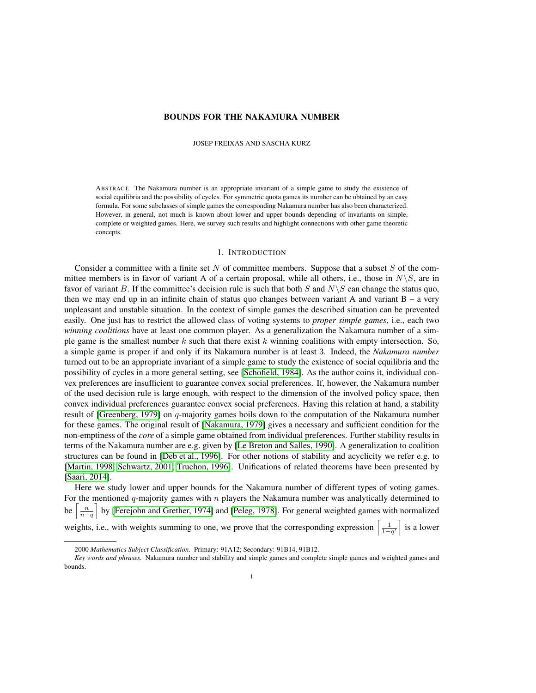## BOUNDS FOR THE NAKAMURA NUMBER

JOSEP FREIXAS AND SASCHA KURZ

ABSTRACT. The Nakamura number is an appropriate invariant of a simple game to study the existence of social equilibria and the possibility of cycles. For symmetric quota games its number can be obtained by an easy formula. For some subclasses of simple games the corresponding Nakamura number has also been characterized. However, in general, not much is known about lower and upper bounds depending of invariants on simple, complete or weighted games. Here, we survey such results and highlight connections with other game theoretic concepts.

## 1. INTRODUCTION

Consider a committee with a finite set  $N$  of committee members. Suppose that a subset  $S$  of the committee members is in favor of variant A of a certain proposal, while all others, i.e., those in  $N\backslash S$ , are in favor of variant B. If the committee's decision rule is such that both S and  $N\setminus S$  can change the status quo, then we may end up in an infinite chain of status quo changes between variant A and variant  $B - a$  very unpleasant and unstable situation. In the context of simple games the described situation can be prevented easily. One just has to restrict the allowed class of voting systems to *proper simple games*, i.e., each two *winning coalitions* have at least one common player. As a generalization the Nakamura number of a simple game is the smallest number  $k$  such that there exist  $k$  winning coalitions with empty intersection. So, a simple game is proper if and only if its Nakamura number is at least 3. Indeed, the *Nakamura number* turned out to be an appropriate invariant of a simple game to study the existence of social equilibria and the possibility of cycles in a more general setting, see [\[Schofield, 1984\]](#page-20-0). As the author coins it, individual convex preferences are insufficient to guarantee convex social preferences. If, however, the Nakamura number of the used decision rule is large enough, with respect to the dimension of the involved policy space, then convex individual preferences guarantee convex social preferences. Having this relation at hand, a stability result of [\[Greenberg, 1979\]](#page-20-1) on  $q$ -majority games boils down to the computation of the Nakamura number for these games. The original result of [\[Nakamura, 1979\]](#page-20-2) gives a necessary and sufficient condition for the non-emptiness of the *core* of a simple game obtained from individual preferences. Further stability results in terms of the Nakamura number are e.g. given by [\[Le Breton and Salles, 1990\]](#page-20-3). A generalization to coalition structures can be found in [\[Deb et al., 1996\]](#page-20-4). For other notions of stability and acyclicity we refer e.g. to [\[Martin, 1998,](#page-20-5) [Schwartz, 2001,](#page-20-6) [Truchon, 1996\]](#page-21-0). Unifications of related theorems have been presented by [\[Saari, 2014\]](#page-20-7).

Here we study lower and upper bounds for the Nakamura number of different types of voting games. For the mentioned  $q$ -majority games with  $n$  players the Nakamura number was analytically determined to be  $\left\lceil \frac{n}{n-q} \right\rceil$  by [\[Ferejohn and Grether, 1974\]](#page-20-8) and [\[Peleg, 1978\]](#page-20-9). For general weighted games with normalized weights, i.e., with weights summing to one, we prove that the corresponding expression  $\left[\frac{1}{1-q'}\right]$  is a lower

<sup>2000</sup> *Mathematics Subject Classification.* Primary: 91A12; Secondary: 91B14, 91B12.

*Key words and phrases.* Nakamura number and stability and simple games and complete simple games and weighted games and bounds.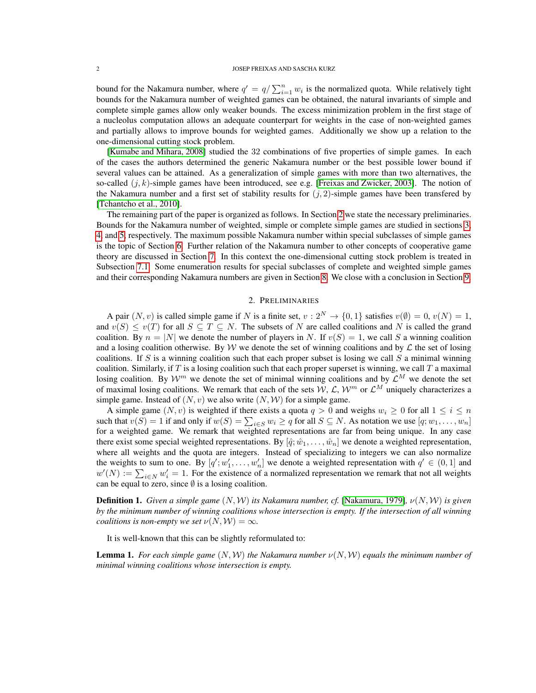#### 2 JOSEP FREIXAS AND SASCHA KURZ

bound for the Nakamura number, where  $q' = q / \sum_{i=1}^{n} w_i$  is the normalized quota. While relatively tight bounds for the Nakamura number of weighted games can be obtained, the natural invariants of simple and complete simple games allow only weaker bounds. The excess minimization problem in the first stage of a nucleolus computation allows an adequate counterpart for weights in the case of non-weighted games and partially allows to improve bounds for weighted games. Additionally we show up a relation to the one-dimensional cutting stock problem.

[\[Kumabe and Mihara, 2008\]](#page-20-10) studied the 32 combinations of five properties of simple games. In each of the cases the authors determined the generic Nakamura number or the best possible lower bound if several values can be attained. As a generalization of simple games with more than two alternatives, the so-called  $(j, k)$ -simple games have been introduced, see e.g. [\[Freixas and Zwicker, 2003\]](#page-20-11). The notion of the Nakamura number and a first set of stability results for  $(i, 2)$ -simple games have been transfered by [\[Tchantcho et al., 2010\]](#page-21-1).

The remaining part of the paper is organized as follows. In Section [2](#page-1-0) we state the necessary preliminaries. Bounds for the Nakamura number of weighted, simple or complete simple games are studied in sections [3,](#page-3-0) [4,](#page-7-0) and [5,](#page-9-0) respectively. The maximum possible Nakamura number within special subclasses of simple games is the topic of Section [6.](#page-13-0) Further relation of the Nakamura number to other concepts of cooperative game theory are discussed in Section [7.](#page-15-0) In this context the one-dimensional cutting stock problem is treated in Subsection [7.1.](#page-16-0) Some enumeration results for special subclasses of complete and weighted simple games and their corresponding Nakamura numbers are given in Section [8.](#page-18-0) We close with a conclusion in Section [9.](#page-19-0)

## 2. PRELIMINARIES

<span id="page-1-0"></span>A pair  $(N, v)$  is called simple game if N is a finite set,  $v : 2^N \to \{0, 1\}$  satisfies  $v(\emptyset) = 0, v(N) = 1$ , and  $v(S) \le v(T)$  for all  $S \subseteq T \subseteq N$ . The subsets of N are called coalitions and N is called the grand coalition. By  $n = |N|$  we denote the number of players in N. If  $v(S) = 1$ , we call S a winning coalition and a losing coalition otherwise. By W we denote the set of winning coalitions and by  $\mathcal L$  the set of losing coalitions. If S is a winning coalition such that each proper subset is losing we call S a minimal winning coalition. Similarly, if  $T$  is a losing coalition such that each proper superset is winning, we call  $T$  a maximal losing coalition. By  $\mathcal{W}^m$  we denote the set of minimal winning coalitions and by  $\mathcal{L}^M$  we denote the set of maximal losing coalitions. We remark that each of the sets  $W, \mathcal{L}, W^m$  or  $\mathcal{L}^M$  uniquely characterizes a simple game. Instead of  $(N, v)$  we also write  $(N, W)$  for a simple game.

A simple game  $(N, v)$  is weighted if there exists a quota  $q > 0$  and weighs  $w_i \ge 0$  for all  $1 \le i \le n$ such that  $v(S) = 1$  if and only if  $w(S) = \sum_{i \in S} w_i \ge q$  for all  $S \subseteq N$ . As notation we use  $[q; w_1, \dots, w_n]$ for a weighted game. We remark that weighted representations are far from being unique. In any case there exist some special weighted representations. By  $[\hat{q}; \hat{w}_1, \dots, \hat{w}_n]$  we denote a weighted representation, where all weights and the quota are integers. Instead of specializing to integers we can also normalize the weights to sum to one. By  $[q'; w'_1, \ldots, w'_n]$  we denote a weighted representation with  $q' \in (0, 1]$  and  $w'(N) := \sum_{i \in N} w'_i = 1$ . For the existence of a normalized representation we remark that not all weights can be equal to zero, since  $\emptyset$  is a losing coalition.

**Definition 1.** *Given a simple game*  $(N, W)$  *its Nakamura number, cf.* [\[Nakamura, 1979\]](#page-20-2),  $\nu(N, W)$  *is given by the minimum number of winning coalitions whose intersection is empty. If the intersection of all winning coalitions is non-empty we set*  $\nu(N, W) = \infty$ *.* 

It is well-known that this can be slightly reformulated to:

<span id="page-1-1"></span>**Lemma 1.** *For each simple game*  $(N, W)$  *the Nakamura number*  $\nu(N, W)$  *equals the minimum number of minimal winning coalitions whose intersection is empty.*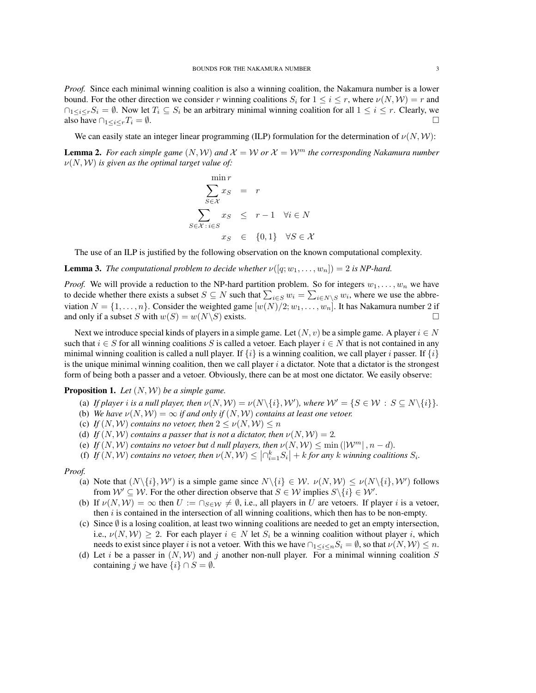*Proof.* Since each minimal winning coalition is also a winning coalition, the Nakamura number is a lower bound. For the other direction we consider r winning coalitions  $S_i$  for  $1 \le i \le r$ , where  $\nu(N, W) = r$  and  $\cap_{1\leq i\leq r}S_i = \emptyset$ . Now let  $T_i \subseteq S_i$  be an arbitrary minimal winning coalition for all  $1 \leq i \leq r$ . Clearly, we also have  $\bigcap_{1 \leq i \leq r} T_i = \emptyset$ .

We can easily state an integer linear programming (ILP) formulation for the determination of  $\nu(N, W)$ :

<span id="page-2-0"></span>**Lemma 2.** *For each simple game*  $(N, W)$  *and*  $\mathcal{X} = W$  *or*  $\mathcal{X} = W^m$  *the corresponding Nakamura number*  $\nu(N, W)$  *is given as the optimal target value of:* 

$$
\min_{S \in \mathcal{X}} r_S = r
$$
\n
$$
\sum_{S \in \mathcal{X}} x_S = r
$$
\n
$$
\sum_{S \in \mathcal{X} : i \in S} x_S \leq r - 1 \quad \forall i \in N
$$
\n
$$
x_S \in \{0, 1\} \quad \forall S \in \mathcal{X}
$$

The use of an ILP is justified by the following observation on the known computational complexity.

**Lemma 3.** *The computational problem to decide whether*  $\nu([q; w_1, \ldots, w_n]) = 2$  *is NP-hard.* 

*Proof.* We will provide a reduction to the NP-hard partition problem. So for integers  $w_1, \ldots, w_n$  we have to decide whether there exists a subset  $S \subseteq N$  such that  $\sum_{i \in S} w_i = \sum_{i \in N \setminus S} w_i$ , where we use the abbreviation  $N = \{1, \ldots, n\}$ . Consider the weighted game  $[w(N)/2; w_1, \ldots, w_n]$ . It has Nakamura number 2 if and only if a subset S with  $w(S) = w(N \setminus S)$  exists.

Next we introduce special kinds of players in a simple game. Let  $(N, v)$  be a simple game. A player  $i \in N$ such that  $i \in S$  for all winning coalitions S is called a vetoer. Each player  $i \in N$  that is not contained in any minimal winning coalition is called a null player. If  $\{i\}$  is a winning coalition, we call player i passer. If  $\{i\}$ is the unique minimal winning coalition, then we call player  $i$  a dictator. Note that a dictator is the strongest form of being both a passer and a vetoer. Obviously, there can be at most one dictator. We easily observe:

# <span id="page-2-1"></span>Proposition 1. *Let* (N, W) *be a simple game.*

- (a) *If player i is a null player, then*  $\nu(N, W) = \nu(N \setminus \{i\}, W')$ *, where*  $W' = \{S \in W : S \subseteq N \setminus \{i\}\}.$
- (b) *We have*  $\nu(N, W) = \infty$  *if and only if*  $(N, W)$  *contains at least one vetoer.*
- (c) *If*  $(N, W)$  *contains no vetoer, then*  $2 \le \nu(N, W) \le n$
- (d) *If*  $(N, W)$  *contains a passer that is not a dictator, then*  $\nu(N, W) = 2$ *.*
- (e) *If*  $(N, W)$  *contains no vetoer but d null players, then*  $\nu(N, W) \le \min(|W^m|, n d)$ *.*
- (f) If  $(N, W)$  contains no vetoer, then  $\nu(N, W) \leq |\bigcap_{i=1}^k S_i| + k$  for any k winning coalitions  $S_i$ .

#### *Proof.*

- (a) Note that  $(N\setminus\{i\}, W')$  is a simple game since  $N\setminus\{i\} \in W$ .  $\nu(N, W) \leq \nu(N\setminus\{i\}, W')$  follows from  $\mathcal{W}' \subseteq \mathcal{W}$ . For the other direction observe that  $S \in \mathcal{W}$  implies  $S \setminus \{i\} \in \mathcal{W}'$ .
- (b) If  $\nu(N, W) = \infty$  then  $U := \bigcap_{S \in \mathcal{W}} \neq \emptyset$ , i.e., all players in U are vetoers. If player i is a vetoer, then  $i$  is contained in the intersection of all winning coalitions, which then has to be non-empty.
- (c) Since  $\emptyset$  is a losing coalition, at least two winning coalitions are needed to get an empty intersection, i.e.,  $\nu(N, W) \geq 2$ . For each player  $i \in N$  let  $S_i$  be a winning coalition without player i, which needs to exist since player i is not a vetoer. With this we have  $\bigcap_{1 \leq i \leq n} S_i = \emptyset$ , so that  $\nu(N, W) \leq n$ .
- (d) Let i be a passer in  $(N, W)$  and j another non-null player. For a minimal winning coalition S containing j we have  $\{i\} \cap S = \emptyset$ .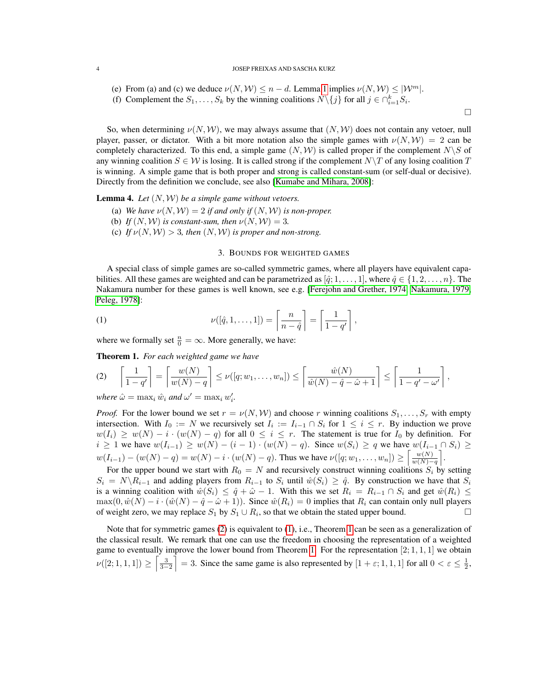#### 4 JOSEP FREIXAS AND SASCHA KURZ

- (e) From (a) and (c) we deduce  $\nu(N, W) \leq n d$ . Lemma [1](#page-1-1) implies  $\nu(N, W) \leq |W^m|$ .
- (f) Complement the  $S_1, \ldots, S_k$  by the winning coalitions  $N \setminus \{j\}$  for all  $j \in \bigcap_{i=1}^k S_i$ .

So, when determining  $\nu(N, W)$ , we may always assume that  $(N, W)$  does not contain any vetoer, null player, passer, or dictator. With a bit more notation also the simple games with  $\nu(N, W) = 2$  can be completely characterized. To this end, a simple game  $(N, W)$  is called proper if the complement  $N\backslash S$  of any winning coalition  $S \in \mathcal{W}$  is losing. It is called strong if the complement  $N\setminus T$  of any losing coalition T is winning. A simple game that is both proper and strong is called constant-sum (or self-dual or decisive). Directly from the definition we conclude, see also [\[Kumabe and Mihara, 2008\]](#page-20-10):

**Lemma 4.** Let  $(N, W)$  be a simple game without vetoers.

- (a) *We have*  $\nu(N, W) = 2$  *if and only if*  $(N, W)$  *is non-proper.*
- (b) *If*  $(N, W)$  *is constant-sum, then*  $\nu(N, W) = 3$ .
- (c) *If*  $\nu(N, W) > 3$ *, then*  $(N, W)$  *is proper and non-strong.*

# <span id="page-3-2"></span>3. BOUNDS FOR WEIGHTED GAMES

<span id="page-3-0"></span>A special class of simple games are so-called symmetric games, where all players have equivalent capabilities. All these games are weighted and can be parametrized as  $[\hat{q}; 1, \ldots, 1]$ , where  $\hat{q} \in \{1, 2, \ldots, n\}$ . The Nakamura number for these games is well known, see e.g. [\[Ferejohn and Grether, 1974,](#page-20-8) [Nakamura, 1979,](#page-20-2) [Peleg, 1978\]](#page-20-9):

(1) 
$$
\nu([\hat{q}, 1, \dots, 1]) = \left\lceil \frac{n}{n - \hat{q}} \right\rceil = \left\lceil \frac{1}{1 - q'} \right\rceil,
$$

where we formally set  $\frac{n}{0} = \infty$ . More generally, we have:

<span id="page-3-3"></span>Theorem 1. *For each weighted game we have*

<span id="page-3-1"></span>
$$
(2) \quad \left\lceil \frac{1}{1-q'} \right\rceil = \left\lceil \frac{w(N)}{w(N)-q} \right\rceil \le \nu([q; w_1, \dots, w_n]) \le \left\lceil \frac{\hat{w}(N)}{\hat{w}(N)-\hat{q}-\hat{\omega}+1} \right\rceil \le \left\lceil \frac{1}{1-q'-\omega'} \right\rceil,
$$

*where*  $\hat{\omega} = \max_i \hat{w}_i$  *and*  $\omega' = \max_i w'_i$ *.* 

*Proof.* For the lower bound we set  $r = \nu(N, W)$  and choose r winning coalitions  $S_1, \ldots, S_r$  with empty intersection. With  $I_0 := N$  we recursively set  $I_i := I_{i-1} \cap S_i$  for  $1 \leq i \leq r$ . By induction we prove  $w(I_i) \geq w(N) - i \cdot (w(N) - q)$  for all  $0 \leq i \leq r$ . The statement is true for  $I_0$  by definition. For  $i \geq 1$  we have  $w(I_{i-1}) \geq w(N) - (i-1) \cdot (w(N) - q)$ . Since  $w(S_i) \geq q$  we have  $w(I_{i-1} \cap S_i) \geq$  $w(I_{i-1}) - (w(N) - q) = w(N) - i \cdot (w(N) - q)$ . Thus we have  $\nu([q; w_1, \ldots, w_n]) \ge \left[ \frac{w(N)}{w(N)} \right]$  $\frac{w(N)}{w(N)-q}$ .

For the upper bound we start with  $R_0 = N$  and recursively construct winning coalitions  $S_i$  by setting  $S_i = N\backslash R_{i-1}$  and adding players from  $R_{i-1}$  to  $S_i$  until  $\hat{w}(S_i) \geq \hat{q}$ . By construction we have that  $S_i$ is a winning coalition with  $\hat{w}(S_i) \leq \hat{q} + \hat{\omega} - 1$ . With this we set  $R_i = R_{i-1} \cap S_i$  and get  $\hat{w}(R_i) \leq$  $\max(0, \hat{w}(N) - i \cdot (\hat{w}(N) - \hat{q} - \hat{\omega} + 1))$ . Since  $\hat{w}(R_i) = 0$  implies that  $R_i$  can contain only null players of weight zero, we may replace  $S_1$  by  $S_1 \cup R_i$ , so that we obtain the stated upper bound.

Note that for symmetric games [\(2\)](#page-3-1) is equivalent to [\(1\)](#page-3-2), i.e., Theorem [1](#page-3-3) can be seen as a generalization of the classical result. We remark that one can use the freedom in choosing the representation of a weighted game to eventually improve the lower bound from Theorem [1.](#page-3-3) For the representation  $[2; 1, 1, 1]$  we obtain  $\nu([2;1,1,1]) \ge \left\lceil \frac{3}{3-2} \right\rceil = 3$ . Since the same game is also represented by  $[1 + \varepsilon; 1, 1, 1]$  for all  $0 < \varepsilon \le \frac{1}{2}$ ,

 $\Box$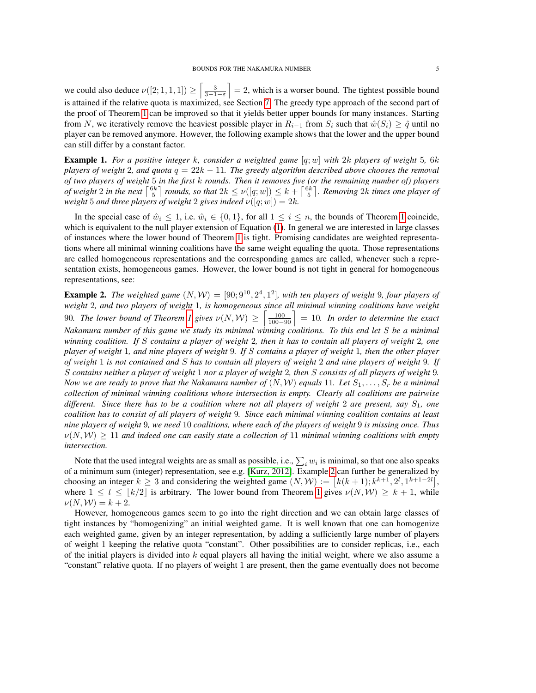we could also deduce  $\nu([2;1,1,1]) \geq \left[\frac{3}{3-1-\epsilon}\right] = 2$ , which is a worser bound. The tightest possible bound is attained if the relative quota is maximized, see Section [7.](#page-15-0) The greedy type approach of the second part of the proof of Theorem [1](#page-3-3) can be improved so that it yields better upper bounds for many instances. Starting from N, we iteratively remove the heaviest possible player in  $R_{i-1}$  from  $S_i$  such that  $\hat{w}(S_i) \geq \hat{q}$  until no player can be removed anymore. However, the following example shows that the lower and the upper bound can still differ by a constant factor.

Example 1. *For a positive integer* k*, consider a weighted game* [q; w] *with* 2k *players of weight* 5*,* 6k *players of weight* 2*, and quota* q = 22k − 11*. The greedy algorithm described above chooses the removal of two players of weight* 5 *in the first* k *rounds. Then it removes five (or the remaining number of) players of weight* 2 in the next  $\left\lceil \frac{6k}{5} \right\rceil$  rounds, so that  $2k \le \nu(\left[q; w\right]) \le k + \left\lceil \frac{6k}{5} \right\rceil$ . Removing  $2k$  times one player of *weight* 5 *and three players of weight* 2 *gives indeed*  $\nu([q; w]) = 2k$ *.* 

In the special case of  $\hat{w}_i \leq 1$  $\hat{w}_i \leq 1$ , i.e.  $\hat{w}_i \in \{0,1\}$ , for all  $1 \leq i \leq n$ , the bounds of Theorem 1 coincide, which is equivalent to the null player extension of Equation [\(1\)](#page-3-2). In general we are interested in large classes of instances where the lower bound of Theorem [1](#page-3-3) is tight. Promising candidates are weighted representations where all minimal winning coalitions have the same weight equaling the quota. Those representations are called homogeneous representations and the corresponding games are called, whenever such a representation exists, homogeneous games. However, the lower bound is not tight in general for homogeneous representations, see:

<span id="page-4-0"></span>**Example 2.** The weighted game  $(N, W) = [90; 9^{10}, 2^4, 1^2]$ , with ten players of weight 9, four players of *weight* 2*, and two players of weight* 1*, is homogeneous since all minimal winning coalitions have weight* 90. The lower bound of Theorem [1](#page-3-3) gives  $\nu(N, W) \ge \left\lceil \frac{100}{100-90} \right\rceil = 10$ . In order to determine the exact *Nakamura number of this game we study its minimal winning coalitions. To this end let* S *be a minimal winning coalition. If* S *contains a player of weight* 2*, then it has to contain all players of weight* 2*, one player of weight* 1*, and nine players of weight* 9*. If* S *contains a player of weight* 1*, then the other player of weight* 1 *is not contained and* S *has to contain all players of weight* 2 *and nine players of weight* 9*. If* S *contains neither a player of weight* 1 *nor a player of weight* 2*, then* S *consists of all players of weight* 9*. Now we are ready to prove that the Nakamura number of*  $(N, W)$  *equals* 11*. Let*  $S_1, \ldots, S_r$  *be a minimal collection of minimal winning coalitions whose intersection is empty. Clearly all coalitions are pairwise different. Since there has to be a coalition where not all players of weight* 2 *are present, say* S1*, one coalition has to consist of all players of weight* 9*. Since each minimal winning coalition contains at least nine players of weight* 9*, we need* 10 *coalitions, where each of the players of weight* 9 *is missing once. Thus*  $\nu(N, W) \geq 11$  and indeed one can easily state a collection of 11 minimal winning coalitions with empty *intersection.*

Note that the used integral weights are as small as possible, i.e.,  $\sum_i w_i$  is minimal, so that one also speaks of a minimum sum (integer) representation, see e.g. [\[Kurz, 2012\]](#page-20-12). Example [2](#page-4-0) can further be generalized by choosing an integer  $k \ge 3$  and considering the weighted game  $(N, W) := [k(k+1); k^{k+1}, 2^l, 1^{k+1-2l}],$ where  $1 \leq l \leq |k/2|$  is arbitrary. The lower bound from Theorem [1](#page-3-3) gives  $\nu(N, W) \geq k + 1$ , while  $\nu(N, W) = k + 2.$ 

However, homogeneous games seem to go into the right direction and we can obtain large classes of tight instances by "homogenizing" an initial weighted game. It is well known that one can homogenize each weighted game, given by an integer representation, by adding a sufficiently large number of players of weight 1 keeping the relative quota "constant". Other possibilities are to consider replicas, i.e., each of the initial players is divided into  $k$  equal players all having the initial weight, where we also assume a "constant" relative quota. If no players of weight 1 are present, then the game eventually does not become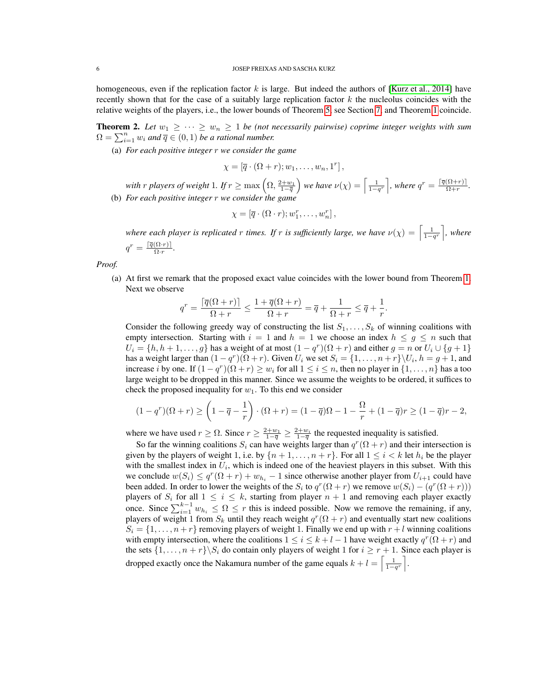homogeneous, even if the replication factor k is large. But indeed the authors of [\[Kurz et al., 2014\]](#page-20-13) have recently shown that for the case of a suitably large replication factor  $k$  the nucleolus coincides with the relative weights of the players, i.e., the lower bounds of Theorem [5,](#page-16-1) see Section [7,](#page-15-0) and Theorem [1](#page-3-3) coincide.

**Theorem 2.** Let  $w_1 \geq \cdots \geq w_n \geq 1$  be (not necessarily pairwise) coprime integer weights with sum  $\Omega = \sum_{i=1}^n w_i$  and  $\overline{q} \in (0,1)$  *be a rational number.* 

(a) *For each positive integer* r *we consider the game*

$$
\chi = [\overline{q} \cdot (\Omega + r); w_1, \ldots, w_n, 1^r],
$$

with  $r$  players of weight 1. If  $r \ge \max\left(\Omega, \frac{2+w_1}{1-\overline{q}}\right)$  we have  $\nu(\chi) = \left\lceil \frac{1}{1-q^r} \right\rceil$ , where  $q^r = \frac{\lceil \overline{q}(\Omega+r) \rceil}{\Omega+r}$  $\frac{(M+r)}{\Omega+r}$ . (b) *For each positive integer* r *we consider the game*

$$
\chi = [\overline{q} \cdot (\Omega \cdot r); w_1^r, \dots, w_n^r],
$$

*where each player is replicated r times. If r is sufficiently large, we have*  $\nu(\chi) = \left[\frac{1}{1-q^r}\right]$ , where  $q^r = \frac{\lceil \overline{q}(\Omega \cdot r) \rceil}{\Omega \cdot r}$  $\frac{\left(\Delta L \cdot T\right)\right|}{\Omega \cdot r}$ .

*Proof.*

(a) At first we remark that the proposed exact value coincides with the lower bound from Theorem [1.](#page-3-3) Next we observe

$$
q^r = \frac{\lceil \overline{q}(\Omega + r) \rceil}{\Omega + r} \le \frac{1 + \overline{q}(\Omega + r)}{\Omega + r} = \overline{q} + \frac{1}{\Omega + r} \le \overline{q} + \frac{1}{r}.
$$

Consider the following greedy way of constructing the list  $S_1, \ldots, S_k$  of winning coalitions with empty intersection. Starting with  $i = 1$  and  $h = 1$  we choose an index  $h \leq g \leq n$  such that  $U_i = \{h, h+1, \ldots, g\}$  has a weight of at most  $(1 - q^r)(\Omega + r)$  and either  $g = n$  or  $U_i \cup \{g+1\}$ has a weight larger than  $(1 - q^r)(\Omega + r)$ . Given  $U_i$  we set  $S_i = \{1, \ldots, n + r\} \setminus U_i$ ,  $h = g + 1$ , and increase *i* by one. If  $(1 - q^r)(\Omega + r) \ge w_i$  for all  $1 \le i \le n$ , then no player in  $\{1, ..., n\}$  has a too large weight to be dropped in this manner. Since we assume the weights to be ordered, it suffices to check the proposed inequality for  $w_1$ . To this end we consider

$$
(1-q^r)(\Omega+r) \ge \left(1-\overline{q}-\frac{1}{r}\right)\cdot(\Omega+r) = (1-\overline{q})\Omega - 1 - \frac{\Omega}{r} + (1-\overline{q})r \ge (1-\overline{q})r - 2,
$$

where we have used  $r \geq \Omega$ . Since  $r \geq \frac{2+w_1}{1-\overline{q}} \geq \frac{2+w_i}{1-\overline{q}}$  the requested inequality is satisfied.

So far the winning coalitions  $S_i$  can have weights larger than  $q^r(\Omega + r)$  and their intersection is given by the players of weight 1, i.e. by  $\{n+1,\ldots,n+r\}$ . For all  $1 \leq i < k$  let  $h_i$  be the player with the smallest index in  $U_i$ , which is indeed one of the heaviest players in this subset. With this we conclude  $w(S_i) \le q^r(\Omega + r) + w_{h_i} - 1$  since otherwise another player from  $U_{i+1}$  could have been added. In order to lower the weights of the  $S_i$  to  $q^r(\Omega + r)$  we remove  $w(S_i) - (q^r(\Omega + r)))$ players of  $S_i$  for all  $1 \leq i \leq k$ , starting from player  $n + 1$  and removing each player exactly once. Since  $\sum_{i=1}^{k-1} w_{h_i} \leq \Omega \leq r$  this is indeed possible. Now we remove the remaining, if any, players of weight 1 from  $S_k$  until they reach weight  $q^r(\Omega + r)$  and eventually start new coalitions  $S_i = \{1, \ldots, n+r\}$  removing players of weight 1. Finally we end up with  $r + l$  winning coalitions with empty intersection, where the coalitions  $1 \le i \le k+l-1$  have weight exactly  $q^r(\Omega+r)$  and the sets  $\{1, \ldots, n + r\} \setminus S_i$  do contain only players of weight 1 for  $i \geq r + 1$ . Since each player is dropped exactly once the Nakamura number of the game equals  $k + l = \left\lceil \frac{1}{1-q^r} \right\rceil$ .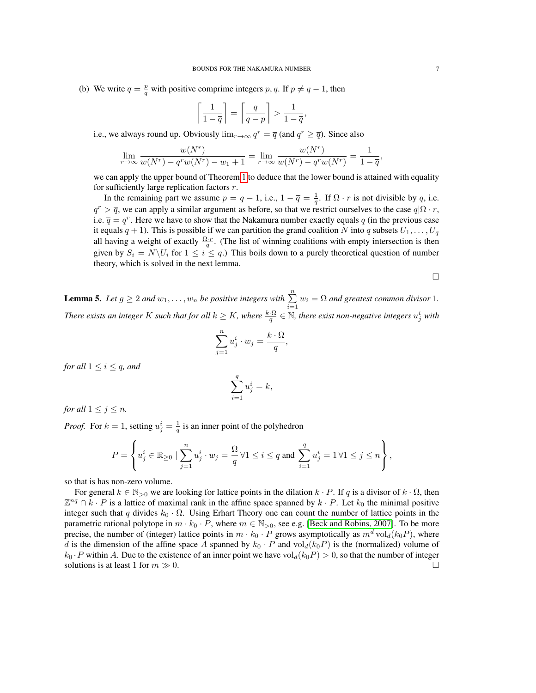(b) We write  $\overline{q} = \frac{p}{q}$  with positive comprime integers p, q. If  $p \neq q-1$ , then

$$
\left\lceil \frac{1}{1-\overline{q}}\right\rceil = \left\lceil \frac{q}{q-p}\right\rceil > \frac{1}{1-\overline{q}},
$$

i.e., we always round up. Obviously  $\lim_{r\to\infty} q^r = \overline{q}$  (and  $q^r \geq \overline{q}$ ). Since also

$$
\lim_{r \to \infty} \frac{w(N^r)}{w(N^r) - q^r w(N^r) - w_1 + 1} = \lim_{r \to \infty} \frac{w(N^r)}{w(N^r) - q^r w(N^r)} = \frac{1}{1 - \overline{q}},
$$

we can apply the upper bound of Theorem [1](#page-3-3) to deduce that the lower bound is attained with equality for sufficiently large replication factors  $r$ .

In the remaining part we assume  $p = q - 1$ , i.e.,  $1 - \overline{q} = \frac{1}{q}$ . If  $\Omega \cdot r$  is not divisible by q, i.e.  $q^r > \overline{q}$ , we can apply a similar argument as before, so that we restrict ourselves to the case  $q|\Omega \cdot r$ , i.e.  $\bar{q} = q^r$ . Here we have to show that the Nakamura number exactly equals q (in the previous case it equals  $q + 1$ ). This is possible if we can partition the grand coalition N into q subsets  $U_1, \ldots, U_q$ all having a weight of exactly  $\frac{\Omega \cdot r}{q}$ . (The list of winning coalitions with empty intersection is then given by  $S_i = N \backslash U_i$  for  $1 \leq i \leq q$ .) This boils down to a purely theoretical question of number theory, which is solved in the next lemma.

$$
\Box
$$

<span id="page-6-0"></span>**Lemma 5.** Let  $g \ge 2$  and  $w_1, \ldots, w_n$  be positive integers with  $\sum_{i=1}^n w_i = \Omega$  and greatest common divisor 1. There exists an integer K such that for all  $k \geq K$ , where  $\frac{k \cdot \Omega}{q} \in \mathbb{N}$ , there exist non-negative integers  $u_j^i$  with

$$
\sum_{j=1}^{n} u_j^i \cdot w_j = \frac{k \cdot \Omega}{q},
$$

*for all*  $1 \leq i \leq q$ *, and* 

$$
\sum_{i=1}^{q} u_j^i = k,
$$

*for all*  $1 \leq j \leq n$ *.* 

*Proof.* For  $k = 1$ , setting  $u_j^i = \frac{1}{q}$  is an inner point of the polyhedron

$$
P = \left\{ u^i_j \in \mathbb{R}_{\geq 0} \mid \sum_{j=1}^n u^i_j \cdot w_j = \frac{\Omega}{q} \, \forall 1 \leq i \leq q \text{ and } \sum_{i=1}^q u^i_j = 1 \, \forall 1 \leq j \leq n \right\},\
$$

so that is has non-zero volume.

For general  $k \in \mathbb{N}_{>0}$  we are looking for lattice points in the dilation  $k \cdot P$ . If q is a divisor of  $k \cdot \Omega$ , then  $\mathbb{Z}^{nq} \cap k \cdot P$  is a lattice of maximal rank in the affine space spanned by  $k \cdot P$ . Let  $k_0$  the minimal positive integer such that q divides  $k_0 \cdot \Omega$ . Using Erhart Theory one can count the number of lattice points in the parametric rational polytope in  $m \cdot k_0 \cdot P$ , where  $m \in \mathbb{N}_{>0}$ , see e.g. [\[Beck and Robins, 2007\]](#page-20-14). To be more precise, the number of (integer) lattice points in  $m \cdot k_0 \cdot P$  grows asymptotically as  $m^d \text{vol}_d(k_0P)$ , where d is the dimension of the affine space A spanned by  $k_0 \cdot P$  and  $\text{vol}_d(k_0)$  is the (normalized) volume of  $k_0 \cdot P$  within A. Due to the existence of an inner point we have vol $d(k_0P) > 0$ , so that the number of integer solutions is at least 1 for  $m \gg 0$ .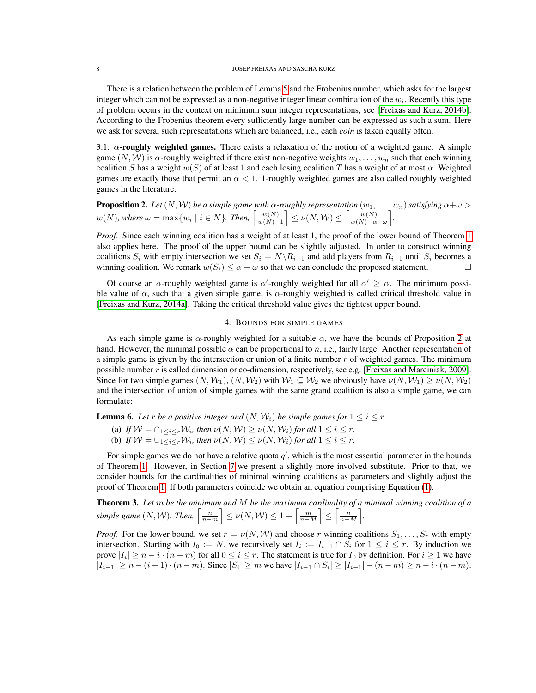There is a relation between the problem of Lemma [5](#page-6-0) and the Frobenius number, which asks for the largest integer which can not be expressed as a non-negative integer linear combination of the  $w_i$ . Recently this type of problem occurs in the context on minimum sum integer representations, see [\[Freixas and Kurz, 2014b\]](#page-20-15). According to the Frobenius theorem every sufficiently large number can be expressed as such a sum. Here we ask for several such representations which are balanced, i.e., each *coin* is taken equally often.

3.1.  $\alpha$ -roughly weighted games. There exists a relaxation of the notion of a weighted game. A simple game  $(N, W)$  is  $\alpha$ -roughly weighted if there exist non-negative weights  $w_1, \ldots, w_n$  such that each winning coalition S has a weight  $w(S)$  of at least 1 and each losing coalition T has a weight of at most  $\alpha$ . Weighted games are exactly those that permit an  $\alpha < 1$ . 1-roughly weighted games are also called roughly weighted games in the literature.

<span id="page-7-1"></span>**Proposition 2.** Let  $(N, W)$  be a simple game with  $\alpha$ -roughly representation  $(w_1, \ldots, w_n)$  satisfying  $\alpha + \omega > 0$  $w(N)$ , where  $\omega = \max\{w_i \mid i \in N\}$ . Then,  $\left\lceil \frac{w(N)}{w(N)-1} \right\rceil$  $\left[\frac{w(N)}{w(N)-1}\right] \leq \nu(N,\mathcal{W}) \leq \left[\frac{w(N)}{w(N)-\alpha}\right]$  $\frac{w(N)}{w(N)-\alpha-\omega}$ .

*Proof.* Since each winning coalition has a weight of at least 1, the proof of the lower bound of Theorem [1](#page-3-3) also applies here. The proof of the upper bound can be slightly adjusted. In order to construct winning coalitions S<sub>i</sub> with empty intersection we set  $S_i = N\setminus R_{i-1}$  and add players from  $R_{i-1}$  until  $S_i$  becomes a winning coalition. We remark  $w(S_i) \leq \alpha + \omega$  so that we can conclude the proposed statement.

Of course an  $\alpha$ -roughly weighted game is  $\alpha'$ -roughly weighted for all  $\alpha' \geq \alpha$ . The minimum possible value of  $\alpha$ , such that a given simple game, is  $\alpha$ -roughly weighted is called critical threshold value in [\[Freixas and Kurz, 2014a\]](#page-20-16). Taking the critical threshold value gives the tightest upper bound.

## 4. BOUNDS FOR SIMPLE GAMES

<span id="page-7-0"></span>As each simple game is  $\alpha$ -roughly weighted for a suitable  $\alpha$ , we have the bounds of Proposition [2](#page-7-1) at hand. However, the minimal possible  $\alpha$  can be proportional to n, i.e., fairly large. Another representation of a simple game is given by the intersection or union of a finite number  $r$  of weighted games. The minimum possible number r is called dimension or co-dimension, respectively, see e.g. [\[Freixas and Marciniak, 2009\]](#page-20-17). Since for two simple games  $(N, W_1)$ ,  $(N, W_2)$  with  $W_1 \subseteq W_2$  we obviously have  $\nu(N, W_1) \geq \nu(N, W_2)$ and the intersection of union of simple games with the same grand coalition is also a simple game, we can formulate:

**Lemma 6.** Let *r* be a positive integer and  $(N, W_i)$  be simple games for  $1 \le i \le r$ .

(a) If  $W = \bigcap_{1 \leq i \leq r} W_i$ , then  $\nu(N, W) \geq \nu(N, W_i)$  for all  $1 \leq i \leq r$ .

(b) If  $W = \bigcup_{1 \leq i \leq r} W_i$ , then  $\nu(N, W) \leq \nu(N, W_i)$  for all  $1 \leq i \leq r$ .

For simple games we do not have a relative quota  $q'$ , which is the most essential parameter in the bounds of Theorem [1.](#page-3-3) However, in Section [7](#page-15-0) we present a slightly more involved substitute. Prior to that, we consider bounds for the cardinalities of minimal winning coalitions as parameters and slightly adjust the proof of Theorem [1.](#page-3-3) If both parameters coincide we obtain an equation comprising Equation [\(1\)](#page-3-2).

Theorem 3. *Let* m *be the minimum and* M *be the maximum cardinality of a minimal winning coalition of a* simple game  $(N, W)$ . Then,  $\left\lceil \frac{n}{n-m} \right\rceil \leq \nu(N, W) \leq 1 + \left\lceil \frac{m}{n-M} \right\rceil \leq \left\lceil \frac{n}{n-M} \right\rceil$ .

*Proof.* For the lower bound, we set  $r = \nu(N, W)$  and choose r winning coalitions  $S_1, \ldots, S_r$  with empty intersection. Starting with  $I_0 := N$ , we recursively set  $I_i := I_{i-1} \cap S_i$  for  $1 \leq i \leq r$ . By induction we prove  $|I_i| \ge n - i \cdot (n - m)$  for all  $0 \le i \le r$ . The statement is true for  $I_0$  by definition. For  $i \ge 1$  we have  $|I_{i-1}| \ge n - (i-1) \cdot (n-m)$ . Since  $|S_i| \ge m$  we have  $|I_{i-1} \cap S_i| \ge |I_{i-1}| - (n-m) \ge n - i \cdot (n-m)$ .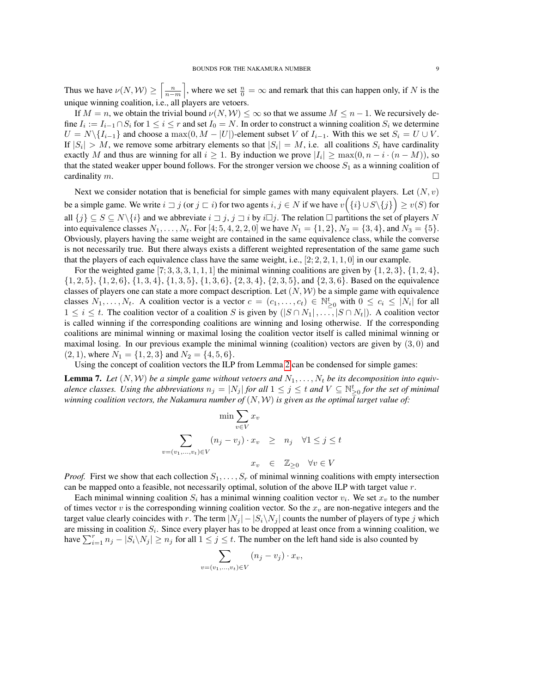Thus we have  $\nu(N, W) \ge \left\lceil \frac{n}{n-m} \right\rceil$ , where we set  $\frac{n}{0} = \infty$  and remark that this can happen only, if N is the unique winning coalition, i.e., all players are vetoers.

If  $M = n$ , we obtain the trivial bound  $\nu(N, W) \leq \infty$  so that we assume  $M \leq n - 1$ . We recursively define  $I_i := I_{i-1} \cap S_i$  for  $1 \le i \le r$  and set  $I_0 = N$ . In order to construct a winning coalition  $S_i$  we determine  $U = N \setminus \{I_{i-1}\}\$ and choose a max $(0, M - |U|)$ -element subset V of  $I_{i-1}$ . With this we set  $S_i = U \cup V$ . If  $|S_i| > M$ , we remove some arbitrary elements so that  $|S_i| = M$ , i.e. all coalitions  $S_i$  have cardinality exactly M and thus are winning for all  $i \ge 1$ . By induction we prove  $|I_i| \ge \max(0, n - i \cdot (n - M))$ , so that the stated weaker upper bound follows. For the stronger version we choose  $S_1$  as a winning coalition of cardinality  $m$ .

Next we consider notation that is beneficial for simple games with many equivalent players. Let  $(N, v)$ be a simple game. We write  $i \sqsupset j$  (or  $j \sqsubset i$ ) for two agents  $i, j \in N$  if we have  $v(\{i\} \cup S \setminus \{j\}) \geq v(S)$  for all  $\{j\} \subseteq S \subseteq N\backslash\{i\}$  and we abbreviate  $i \sqsupset j$ ,  $j \sqsupset i$  by  $i \sqcup j$ . The relation  $\sqsupset$  partitions the set of players N into equivalence classes  $N_1, \ldots, N_t$ . For [4; 5, 4, 2, 2, 0] we have  $N_1 = \{1, 2\}$ ,  $N_2 = \{3, 4\}$ , and  $N_3 = \{5\}$ . Obviously, players having the same weight are contained in the same equivalence class, while the converse is not necessarily true. But there always exists a different weighted representation of the same game such that the players of each equivalence class have the same weight, i.e.,  $[2; 2, 2, 1, 1, 0]$  in our example.

For the weighted game  $[7; 3, 3, 3, 1, 1, 1]$  the minimal winning coalitions are given by  $\{1, 2, 3\}$ ,  $\{1, 2, 4\}$ ,  $\{1, 2, 5\}, \{1, 2, 6\}, \{1, 3, 4\}, \{1, 3, 5\}, \{1, 3, 6\}, \{2, 3, 4\}, \{2, 3, 5\}, \text{and } \{2, 3, 6\}.$  Based on the equivalence classes of players one can state a more compact description. Let  $(N, W)$  be a simple game with equivalence classes  $N_1, \ldots, N_t$ . A coalition vector is a vector  $c = (c_1, \ldots, c_t) \in \mathbb{N}_{\geq 0}^t$  with  $0 \leq c_i \leq |N_i|$  for all  $1 \leq i \leq t$ . The coalition vector of a coalition S is given by  $(|S \cap N_1|, \ldots, |S \cap N_t|)$ . A coalition vector is called winning if the corresponding coalitions are winning and losing otherwise. If the corresponding coalitions are minimal winning or maximal losing the coalition vector itself is called minimal winning or maximal losing. In our previous example the minimal winning (coalition) vectors are given by  $(3,0)$  and  $(2, 1)$ , where  $N_1 = \{1, 2, 3\}$  and  $N_2 = \{4, 5, 6\}.$ 

Using the concept of coalition vectors the ILP from Lemma [2](#page-2-0) can be condensed for simple games:

<span id="page-8-0"></span>**Lemma 7.** Let  $(N, W)$  be a simple game without vetoers and  $N_1, \ldots, N_t$  be its decomposition into equiv*alence classes. Using the abbreviations*  $n_j = |N_j|$  *for all*  $1 \leq j \leq t$  *and*  $V \subseteq \mathbb{N}_{\geq 0}^t$  *for the set of minimal winning coalition vectors, the Nakamura number of*  $(N, W)$  *is given as the optimal target value of:* 

$$
\min \sum_{v \in V} x_v
$$
  

$$
\sum_{v = (v_1, \dots, v_t) \in V} (n_j - v_j) \cdot x_v \ge n_j \quad \forall 1 \le j \le t
$$
  

$$
x_v \in \mathbb{Z}_{\ge 0} \quad \forall v \in V
$$

*Proof.* First we show that each collection  $S_1, \ldots, S_r$  of minimal winning coalitions with empty intersection can be mapped onto a feasible, not necessarily optimal, solution of the above ILP with target value  $r$ .

Each minimal winning coalition  $S_i$  has a minimal winning coalition vector  $v_i$ . We set  $x_v$  to the number of times vector v is the corresponding winning coalition vector. So the  $x<sub>v</sub>$  are non-negative integers and the target value clearly coincides with r. The term  $|N_j| - |S_i \setminus N_j|$  counts the number of players of type j which are missing in coalition  $S_i$ . Since every player has to be dropped at least once from a winning coalition, we have  $\sum_{i=1}^{r} n_j - |S_i \setminus N_j| \ge n_j$  for all  $1 \le j \le t$ . The number on the left hand side is also counted by

$$
\sum_{v=(v_1,\ldots,v_t)\in V} (n_j-v_j)\cdot x_v,
$$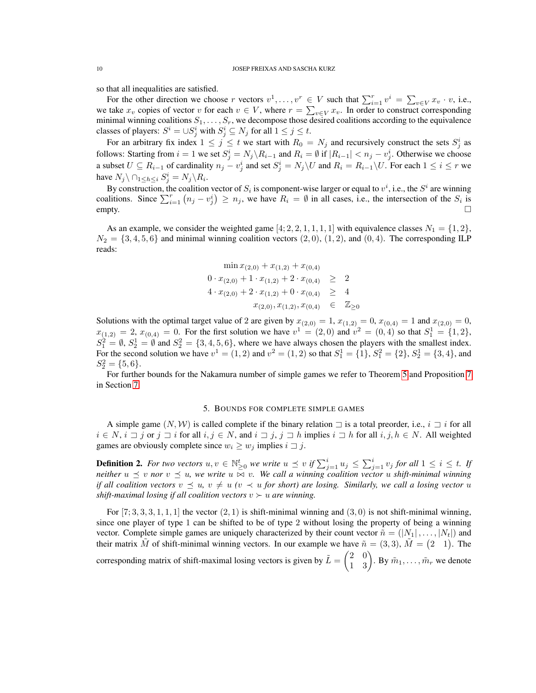so that all inequalities are satisfied.

For the other direction we choose r vectors  $v^1, \ldots, v^r \in V$  such that  $\sum_{i=1}^r v^i = \sum_{v \in V} x_v \cdot v$ , i.e., we take  $x_v$  copies of vector v for each  $v \in V$ , where  $r = \sum_{v \in V} x_v$ . In order to construct corresponding minimal winning coalitions  $S_1, \ldots, S_r$ , we decompose those desired coalitions according to the equivalence classes of players:  $S^i = \cup S^i_j$  with  $S^i_j \subseteq N_j$  for all  $1 \leq j \leq t$ .

For an arbitrary fix index  $1 \leq j \leq t$  we start with  $R_0 = N_j$  and recursively construct the sets  $S_j^i$  as follows: Starting from  $i = 1$  we set  $S_j^i = N_j \setminus R_{i-1}$  and  $R_i = \emptyset$  if  $|R_{i-1}| < n_j - v_j^i$ . Otherwise we choose a subset  $U \subseteq R_{i-1}$  of cardinality  $n_j - v_j^i$  and set  $S_j^i = N_j \setminus U$  and  $R_i = R_{i-1} \setminus U$ . For each  $1 \le i \le r$  we have  $N_j \setminus \bigcap_{1 \leq h \leq i} S_j^i = N_j \setminus R_i$ .

By construction, the coalition vector of  $S_i$  is component-wise larger or equal to  $v^i$ , i.e., the  $S^i$  are winning coalitions. Since  $\sum_{i=1}^{r} (n_j - v_j^i) \ge n_j$ , we have  $R_i = \emptyset$  in all cases, i.e., the intersection of the  $S_i$  is  $\equiv$   $\equiv$   $\equiv$   $\equiv$   $\equiv$   $\equiv$   $\equiv$   $\equiv$ 

As an example, we consider the weighted game [4, 2, 2, 1, 1, 1, 1] with equivalence classes  $N_1 = \{1, 2\}$ ,  $N_2 = \{3, 4, 5, 6\}$  and minimal winning coalition vectors  $(2, 0), (1, 2)$ , and  $(0, 4)$ . The corresponding ILP reads:

$$
\min x_{(2,0)} + x_{(1,2)} + x_{(0,4)}
$$
  
\n
$$
0 \cdot x_{(2,0)} + 1 \cdot x_{(1,2)} + 2 \cdot x_{(0,4)} \ge 2
$$
  
\n
$$
4 \cdot x_{(2,0)} + 2 \cdot x_{(1,2)} + 0 \cdot x_{(0,4)} \ge 4
$$
  
\n
$$
x_{(2,0)}, x_{(1,2)}, x_{(0,4)} \in \mathbb{Z}_{\ge 0}
$$

Solutions with the optimal target value of 2 are given by  $x_{(2,0)} = 1$ ,  $x_{(1,2)} = 0$ ,  $x_{(0,4)} = 1$  and  $x_{(2,0)} = 0$ ,  $x_{(1,2)} = 2, x_{(0,4)} = 0.$  For the first solution we have  $v^1 = (2,0)$  and  $v^2 = (0,4)$  so that  $S_1^1 = \{1,2\},\$  $S_1^2 = \emptyset$ ,  $S_2^1 = \emptyset$  and  $S_2^2 = \{3, 4, 5, 6\}$ , where we have always chosen the players with the smallest index. For the second solution we have  $v^1 = (1, 2)$  and  $v^2 = (1, 2)$  so that  $S_1^1 = \{1\}$ ,  $S_1^2 = \{2\}$ ,  $S_2^1 = \{3, 4\}$ , and  $S_2^2 = \{5, 6\}.$ 

For further bounds for the Nakamura number of simple games we refer to Theorem [5](#page-16-1) and Proposition [7](#page-17-0) in Section [7.](#page-15-0)

## 5. BOUNDS FOR COMPLETE SIMPLE GAMES

<span id="page-9-0"></span>A simple game  $(N, W)$  is called complete if the binary relation  $\Box$  is a total preorder, i.e.,  $i \Box i$  for all  $i \in N$ ,  $i \sqsupset j$  or  $j \sqsupset i$  for all  $i, j \in N$ , and  $i \sqsupset j$ ,  $j \sqsupset h$  implies  $i \sqsupset h$  for all  $i, j, h \in N$ . All weighted games are obviously complete since  $w_i \geq w_j$  implies  $i \sqsupset j$ .

**Definition 2.** For two vectors  $u, v \in \mathbb{N}_{\geq 0}^t$  we write  $u \preceq v$  if  $\sum_{j=1}^i u_j \leq \sum_{j=1}^i v_j$  for all  $1 \leq i \leq t$ . If *neither*  $u \preceq v$  *nor*  $v \preceq u$ *, we write*  $u \Join v$ *. We call a winning coalition vector* u *shift-minimal winning if all coalition vectors*  $v \preceq u$ ,  $v \neq u$  ( $v \prec u$  *for short) are losing. Similarly, we call a losing vector* u *shift-maximal losing if all coalition vectors*  $v \succ u$  *are winning.* 

For  $[7; 3, 3, 3, 1, 1, 1]$  the vector  $(2, 1)$  is shift-minimal winning and  $(3, 0)$  is not shift-minimal winning, since one player of type 1 can be shifted to be of type 2 without losing the property of being a winning vector. Complete simple games are uniquely characterized by their count vector  $\tilde{n} = (|N_1|, \ldots, |N_t|)$  and their matrix  $\tilde{M}$  of shift-minimal winning vectors. In our example we have  $\tilde{n} = (3, 3)$ ,  $\tilde{M} = (2 \ 1)$ . The corresponding matrix of shift-maximal losing vectors is given by  $\tilde{L} = \begin{pmatrix} 2 & 0 \\ 1 & 3 \end{pmatrix}$ . By  $\tilde{m}_1, \ldots, \tilde{m}_r$  we denote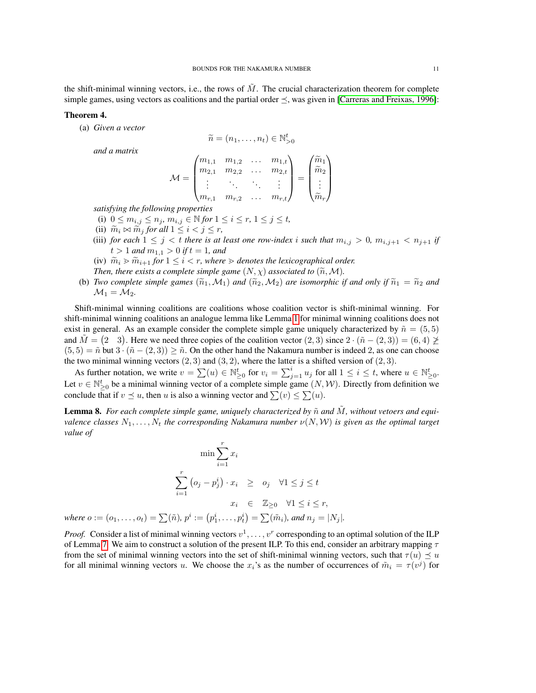the shift-minimal winning vectors, i.e., the rows of  $M$ . The crucial characterization theorem for complete simple games, using vectors as coalitions and the partial order  $\leq$ , was given in [\[Carreras and Freixas, 1996\]](#page-20-18):

# Theorem 4.

(a) *Given a vector*

$$
\widetilde{n}=(n_1,\ldots,n_t)\in\mathbb{N}_{>0}^t
$$

*and a matrix*

$$
\mathcal{M} = \begin{pmatrix} m_{1,1} & m_{1,2} & \dots & m_{1,t} \\ m_{2,1} & m_{2,2} & \dots & m_{2,t} \\ \vdots & \ddots & \ddots & \vdots \\ m_{r,1} & m_{r,2} & \dots & m_{r,t} \end{pmatrix} = \begin{pmatrix} \widetilde{m}_1 \\ \widetilde{m}_2 \\ \vdots \\ \widetilde{m}_r \end{pmatrix}
$$

*satisfying the following properties*

- (i)  $0 \le m_{i,j} \le n_j, m_{i,j} \in \mathbb{N}$  for  $1 \le i \le r, 1 \le j \le t$ ,
- (ii)  $\widetilde{m}_i \bowtie \widetilde{m}_j$  *for all*  $1 \leq i < j \leq r$ ,
- (iii) *for each*  $1 \leq j < t$  *there is at least one row-index i such that*  $m_{i,j} > 0$ ,  $m_{i,j+1} < n_{j+1}$  *if*  $t > 1$  *and*  $m_{1,1} > 0$  *if*  $t = 1$ *, and*
- (iv)  $\widetilde{m}_i \ge \widetilde{m}_{i+1}$  *for*  $1 \le i < r$ *, where*  $\ge$  *denotes the lexicographical order.*
- *Then, there exists a complete simple game*  $(N, \chi)$  *associated to*  $(\widetilde{n}, \mathcal{M})$ *.*
- (b) *Two complete simple games*  $(\widetilde{n}_1, M_1)$  *and*  $(\widetilde{n}_2, M_2)$  *are isomorphic if and only if*  $\widetilde{n}_1 = \widetilde{n}_2$  *and*  $\mathcal{M}_1 = \mathcal{M}_2$ .

Shift-minimal winning coalitions are coalitions whose coalition vector is shift-minimal winning. For shift-minimal winning coalitions an analogue lemma like Lemma [1](#page-1-1) for minimal winning coalitions does not exist in general. As an example consider the complete simple game uniquely characterized by  $\tilde{n} = (5, 5)$ and  $\tilde{M} = (2 \ 3)$ . Here we need three copies of the coalition vector  $(2,3)$  since  $2 \cdot (\tilde{n} - (2,3)) = (6,4) \ngeq 0$  $(5,5) = \tilde{n}$  but  $3 \cdot (\tilde{n} - (2,3)) \geq \tilde{n}$ . On the other hand the Nakamura number is indeed 2, as one can choose the two minimal winning vectors  $(2, 3)$  and  $(3, 2)$ , where the latter is a shifted version of  $(2, 3)$ .

As further notation, we write  $v = \sum(u) \in \mathbb{N}_{\geq 0}^t$  for  $v_i = \sum_{j=1}^i u_j$  for all  $1 \leq i \leq t$ , where  $u \in \mathbb{N}_{\geq 0}^t$ . Let  $v \in \mathbb{N}_{\geq 0}^t$  be a minimal winning vector of a complete simple game  $(N, W)$ . Directly from definition we conclude that if  $v \leq u$ , then u is also a winning vector and  $\sum(v) \leq \sum(u)$ .

<span id="page-10-0"></span>**Lemma 8.** For each complete simple game, uniquely characterized by  $\tilde{n}$  and  $\tilde{M}$ , without vetoers and equi*valence classes*  $N_1, \ldots, N_t$  *the corresponding Nakamura number*  $\nu(N, W)$  *is given as the optimal target value of*

$$
\min \sum_{i=1}^{r} x_i
$$
  

$$
\sum_{i=1}^{r} (o_j - p_j^i) \cdot x_i \geq o_j \quad \forall 1 \leq j \leq t
$$
  

$$
x_i \in \mathbb{Z}_{\geq 0} \quad \forall 1 \leq i \leq r,
$$
  
where  $o := (o_1, ..., o_t) = \sum(\tilde{n}), p^i := (p_1^i, ..., p_t^i) = \sum(\tilde{m}_i), \text{ and } n_j = |N_j|.$ 

*Proof.* Consider a list of minimal winning vectors  $v^1, \ldots, v^r$  corresponding to an optimal solution of the ILP of Lemma [7.](#page-8-0) We aim to construct a solution of the present ILP. To this end, consider an arbitrary mapping  $\tau$ from the set of minimal winning vectors into the set of shift-minimal winning vectors, such that  $\tau(u) \preceq u$ for all minimal winning vectors u. We choose the  $x_i$ 's as the number of occurrences of  $\tilde{m}_i = \tau(v^j)$  for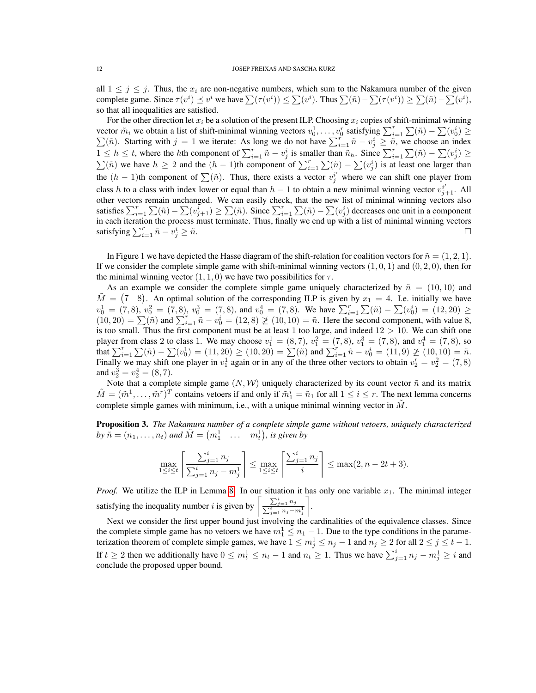all  $1 \leq j \leq j$ . Thus, the  $x_i$  are non-negative numbers, which sum to the Nakamura number of the given complete game. Since  $\tau(v^i) \leq v^i$  we have  $\sum (\tau(v^i)) \leq \sum (v^i)$ . Thus  $\sum (\tilde{n}) - \sum (\tau(v^i)) \geq \sum (\tilde{n}) - \sum (v^i)$ , so that all inequalities are satisfied.

For the other direction let  $x_i$  be a solution of the present ILP. Choosing  $x_i$  copies of shift-minimal winning vector  $\tilde{m}_i$  we obtain a list of shift-minimal winning vectors  $v_0^1, \ldots, v_0^r$  satisfying  $\sum_{i=1}^r \sum(\tilde{n}) - \sum(v_0^i)$ <br>  $\sum(\tilde{n})$ . Starting with  $j = 1$  we iterate: As long we do not have  $\sum_{i=1}^r \tilde{n} - v_i^i \geq \tilde{n}$ ) ≥ ( $\tilde{n}$ ). Starting with  $j = 1$  we iterate: As long we do not have  $\sum_{i=1}^{r} \tilde{n} - v_j^i \geq \tilde{n}$ , we choose an index  $1 \leq h \leq t$ , where the hth component of  $\sum_{i=1}^{r} \tilde{n} - v_j^i$  is smaller than  $\tilde{n}_h$ . Since  $\sum_{i=1}^{r} \sum_{i=1}^r (\tilde{n}) - \sum_{i=1}^r (v_j^i) \geq$  $\sum(\tilde{n})$  we have  $h \geq 2$  and the  $(h-1)$ th component of  $\sum_{i=1}^{r} \sum(\tilde{n}) - \sum(v_j^i)$  is at least one larger than the  $(h-1)$ th component of  $\sum(\tilde{n})$ . Thus, there exists a vector  $v_j^{i'}$  where we can shift one player from class h to a class with index lower or equal than  $h-1$  to obtain a new minimal winning vector  $v_{j+1}^{i'}$ . All other vectors remain unchanged. We can easily check, that the new list of minimal winning vectors also satisfies  $\sum_{i=1}^r \sum_{j=1}^r (\tilde{n}) - \sum_{i=1}^r (\tilde{n}) \sum_{i=1}^r \sum_{j=1}^r \sum_{j=1}^r (\tilde{n}) - \sum_{i=1}^r (\tilde{n})$  decreases one unit in a component in each iteration the process must terminate. Thus, finally we end up with a list of minimal winning vectors satisfying  $\sum_{i=1}^{r} \tilde{n} - v_j^i$  $j \geq \tilde{n}$ .

In Figure 1 we have depicted the Hasse diagram of the shift-relation for coalition vectors for  $\tilde{n} = (1, 2, 1)$ . If we consider the complete simple game with shift-minimal winning vectors  $(1, 0, 1)$  and  $(0, 2, 0)$ , then for the minimal winning vector  $(1, 1, 0)$  we have two possibilities for  $\tau$ .

As an example we consider the complete simple game uniquely characterized by  $\tilde{n} = (10, 10)$  and  $\tilde{M} = (7 \ 8)$ . An optimal solution of the corresponding ILP is given by  $x_1 = 4$ . I.e. initially we have  $v_0^1 = (7, 8), v_0^2 = (7, 8), v_0^3 = (7, 8)$ , and  $v_0^4 = (7, 8)$ . We have  $\sum_{i=1}^r \sum_i (\tilde{n}) - \sum_i (v_0^i) = (12, 20) \ge$  $(10, 20) = \sum(\tilde{n})$  and  $\sum_{i=1}^{r} \tilde{n} - v_0^i = (12, 8) \not\geq (10, 10) = \tilde{n}$ . Here the second component, with value 8, is too small. Thus the first component must be at least 1 too large, and indeed  $12 > 10$ . We can shift one player from class 2 to class 1. We may choose  $v_1^1 = (8, 7), v_1^2 = (7, 8), v_1^3 = (7, 8)$ , and  $v_1^4 = (7, 8)$ , so that  $\sum_{i=1}^{r} \sum(\tilde{n}) - \sum(v_0^1) = (11, 20) \ge (10, 20) = \sum(\tilde{n})$  and  $\sum_{i=1}^{r} \tilde{n} - v_0^i = (11, 9) \not\ge (10, 10) = \tilde{n}$ . Finally we may shift one player in  $v_1^1$  again or in any of the three other vectors to obtain  $v_2' = v_2^2 = (7, 8)$ and  $v_2^3 = v_2^4 = (8, 7)$ .

Note that a complete simple game  $(N, W)$  uniquely characterized by its count vector  $\tilde{n}$  and its matrix  $\tilde{M} = (\tilde{m}^1, \dots, \tilde{m}^r)^T$  contains vetoers if and only if  $\tilde{m}_1^i = \tilde{n}_1$  for all  $1 \le i \le r$ . The next lemma concerns complete simple games with minimum, i.e., with a unique minimal winning vector in  $\tilde{M}$ .

<span id="page-11-0"></span>Proposition 3. *The Nakamura number of a complete simple game without vetoers, uniquely characterized* by  $\tilde{n} = (n_1, \ldots, n_t)$  and  $\tilde{M} = (m_1^1 \ldots, m_t^1)$ , is given by

$$
\max_{1 \le i \le t} \left\lceil \frac{\sum_{j=1}^i n_j}{\sum_{j=1}^i n_j - m_j^1} \right\rceil \le \max_{1 \le i \le t} \left\lceil \frac{\sum_{j=1}^i n_j}{i} \right\rceil \le \max(2, n - 2t + 3).
$$

*Proof.* We utilize the ILP in Lemma [8.](#page-10-0) In our situation it has only one variable  $x_1$ . The minimal integer satisfying the inequality number i is given by  $\left[\frac{\sum_{j=1}^{i} n_j}{\sum_{j=1}^{i} n_j}\right]$  $\sum_{j=1}^i n_j - m_j^1$ .

Next we consider the first upper bound just involving the cardinalities of the equivalence classes. Since the complete simple game has no vetoers we have  $m_1^1 \leq n_1 - 1$ . Due to the type conditions in the parameterization theorem of complete simple games, we have  $1 \leq m_j^1 \leq n_j - 1$  and  $n_j \geq 2$  for all  $2 \leq j \leq t - 1$ . If  $t \ge 2$  then we additionally have  $0 \le m_t^1 \le n_t - 1$  and  $n_t \ge 1$ . Thus we have  $\sum_{j=1}^i n_j - m_j^1 \ge i$  and conclude the proposed upper bound.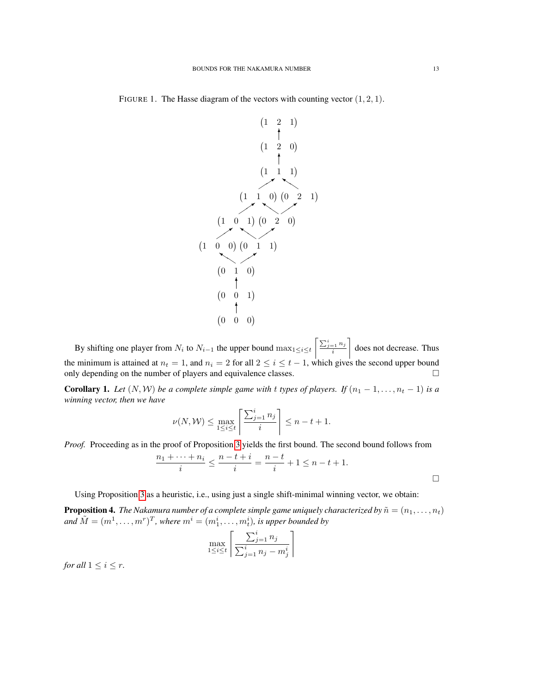

FIGURE 1. The Hasse diagram of the vectors with counting vector  $(1, 2, 1)$ .

By shifting one player from  $N_i$  to  $N_{i-1}$  the upper bound  $\max_{1 \le i \le t} \left\lceil \frac{\sum_{j=1}^{i} n_j}{i} \right\rceil$ does not decrease. Thus the minimum is attained at  $n_t = 1$ , and  $n_i = 2$  for all  $2 \le i \le t - 1$ , which gives the second upper bound only depending on the number of players and equivalence classes.  $\Box$ 

**Corollary 1.** Let  $(N, W)$  be a complete simple game with t types of players. If  $(n_1 - 1, \ldots, n_t - 1)$  is a *winning vector, then we have*

$$
\nu(N, \mathcal{W}) \le \max_{1 \le i \le t} \left[ \frac{\sum_{j=1}^i n_j}{i} \right] \le n - t + 1.
$$

*Proof.* Proceeding as in the proof of Proposition [3](#page-11-0) yields the first bound. The second bound follows from

$$
\frac{n_1 + \dots + n_i}{i} \le \frac{n - t + i}{i} = \frac{n - t}{i} + 1 \le n - t + 1.
$$

Using Proposition [3](#page-11-0) as a heuristic, i.e., using just a single shift-minimal winning vector, we obtain:

**Proposition 4.** *The Nakamura number of a complete simple game uniquely characterized by*  $\tilde{n} = (n_1, \ldots, n_t)$ and  $\tilde{M} = (m^1, \ldots, m^r)^T$ , where  $m^i = (m^i_1, \ldots, m^i_t)$ , is upper bounded by

$$
\max_{1 \le i \le t} \left\lceil \frac{\sum_{j=1}^i n_j}{\sum_{j=1}^i n_j - m_j^i} \right\rceil
$$

*for all*  $1 \leq i \leq r$ *.*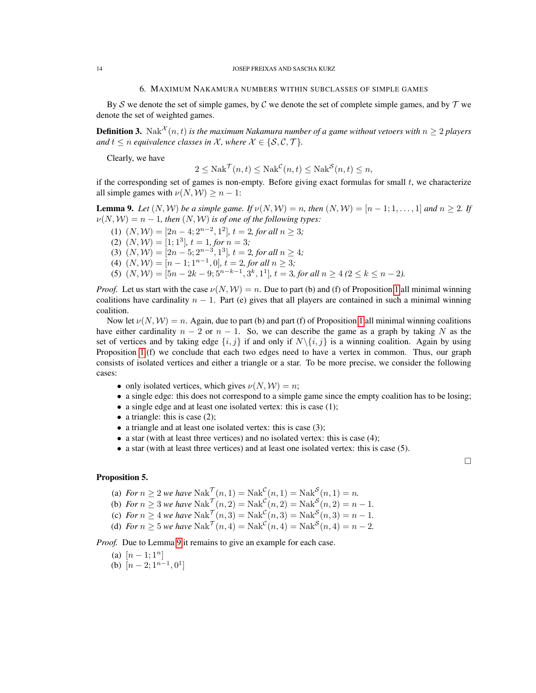#### 6. MAXIMUM NAKAMURA NUMBERS WITHIN SUBCLASSES OF SIMPLE GAMES

<span id="page-13-0"></span>By S we denote the set of simple games, by C we denote the set of complete simple games, and by  $T$  we denote the set of weighted games.

**Definition 3.** Nak<sup> $\mathcal{X}(n,t)$  is the maximum Nakamura number of a game without vetoers with  $n \geq 2$  players</sup> *and*  $t \leq n$  *equivalence classes in*  $\mathcal{X}$ *, where*  $\mathcal{X} \in \{S, C, \mathcal{T}\}$ *.* 

Clearly, we have

$$
2 \leq \text{Nak}^{\mathcal{T}}(n, t) \leq \text{Nak}^{\mathcal{C}}(n, t) \leq \text{Nak}^{\mathcal{S}}(n, t) \leq n,
$$

if the corresponding set of games is non-empty. Before giving exact formulas for small  $t$ , we characterize all simple games with  $\nu(N, W) \geq n - 1$ :

<span id="page-13-1"></span>**Lemma 9.** Let  $(N, W)$  be a simple game. If  $\nu(N, W) = n$ , then  $(N, W) = [n - 1; 1, \ldots, 1]$  and  $n \ge 2$ . If  $\nu(N, W) = n - 1$ , then  $(N, W)$  is of one of the following types:

(1) 
$$
(N, W) = [2n - 4; 2^{n-2}, 1^2]
$$
,  $t = 2$ , for all  $n \ge 3$ ;  
\n(2)  $(N, W) = [1; 1^3]$ ,  $t = 1$ , for  $n = 3$ ;  
\n(3)  $(N, W) = [2n - 5; 2^{n-3}, 1^3]$ ,  $t = 2$ , for all  $n \ge 4$ ;  
\n(4)  $(N, W) = [n - 1; 1^{n-1}, 0]$ ,  $t = 2$ , for all  $n \ge 3$ ;  
\n(5)  $(N, W) = [5n - 2k - 9; 5^{n-k-1}, 3^k, 1^1]$ ,  $t = 3$ , for all  $n \ge 4$  ( $2 \le k \le n - 2$ ).

*Proof.* Let us start with the case  $\nu(N, W) = n$ . Due to part (b) and (f) of Proposition [1](#page-2-1) all minimal winning coalitions have cardinality  $n - 1$ . Part (e) gives that all players are contained in such a minimal winning coalition.

Now let  $\nu(N, W) = n$ . Again, due to part (b) and part (f) of Proposition [1](#page-2-1) all minimal winning coalitions have either cardinality  $n - 2$  or  $n - 1$ . So, we can describe the game as a graph by taking N as the set of vertices and by taking edge  $\{i, j\}$  if and only if  $N\setminus\{i, j\}$  is a winning coalition. Again by using Proposition [1.](#page-2-1)(f) we conclude that each two edges need to have a vertex in common. Thus, our graph consists of isolated vertices and either a triangle or a star. To be more precise, we consider the following cases:

- only isolated vertices, which gives  $\nu(N, W) = n$ ;
- a single edge: this does not correspond to a simple game since the empty coalition has to be losing;
- a single edge and at least one isolated vertex: this is case (1);
- a triangle: this is case  $(2)$ ;
- a triangle and at least one isolated vertex: this is case (3);
- a star (with at least three vertices) and no isolated vertex: this is case (4);
- a star (with at least three vertices) and at least one isolated vertex: this is case (5).

# $\Box$

## Proposition 5.

- (a) *For*  $n \ge 2$  *we have*  $\text{Nak}^{\mathcal{T}}(n, 1) = \text{Nak}^{\mathcal{C}}(n, 1) = \text{Nak}^{\mathcal{S}}(n, 1) = n$ .
- (b) *For*  $n \ge 3$  *we have*  $\text{Nak}^{\mathcal{T}}(n,2) = \text{Nak}^{\mathcal{C}}(n,2) = \text{Nak}^{\mathcal{S}}(n,2) = n 1$ .
- (c) *For*  $n \ge 4$  *we have*  $\text{Nak}^{\mathcal{T}}(n,3) = \text{Nak}^{\mathcal{C}}(n,3) = \text{Nak}^{\mathcal{S}}(n,3) = n 1$ .
- (d) *For*  $n \ge 5$  *we have*  $\text{Nak}^{\mathcal{T}}(n, 4) = \text{Nak}^{\mathcal{C}}(n, 4) = \text{Nak}^{\mathcal{S}}(n, 4) = n 2$ .

*Proof.* Due to Lemma [9](#page-13-1) it remains to give an example for each case.

- (a)  $[n-1;1^n]$
- (b)  $[n-2; 1^{n-1}, 0^1]$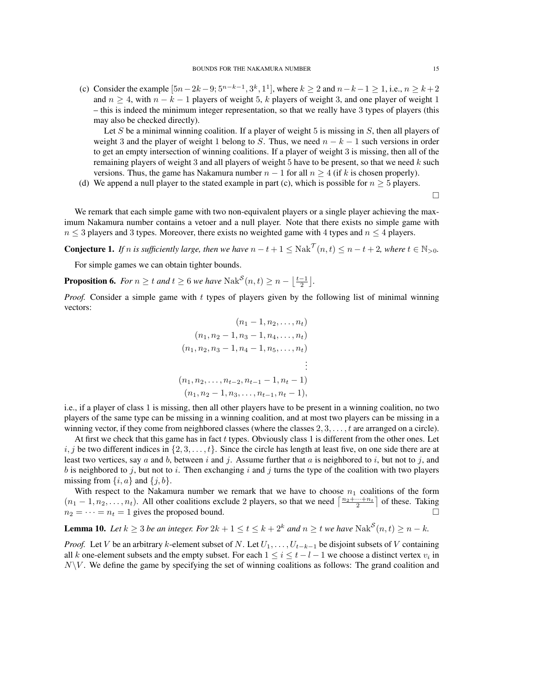(c) Consider the example  $[5n-2k-9; 5^{n-k-1}, 3^k, 1^1]$ , where  $k \ge 2$  and  $n-k-1 \ge 1$ , i.e.,  $n \ge k+2$ and  $n \geq 4$ , with  $n - k - 1$  players of weight 5, k players of weight 3, and one player of weight 1 – this is indeed the minimum integer representation, so that we really have 3 types of players (this may also be checked directly).

Let S be a minimal winning coalition. If a player of weight 5 is missing in  $S$ , then all players of weight 3 and the player of weight 1 belong to S. Thus, we need  $n - k - 1$  such versions in order to get an empty intersection of winning coalitions. If a player of weight 3 is missing, then all of the remaining players of weight 3 and all players of weight 5 have to be present, so that we need  $k$  such versions. Thus, the game has Nakamura number  $n - 1$  for all  $n \geq 4$  (if k is chosen properly).

(d) We append a null player to the stated example in part (c), which is possible for  $n \geq 5$  players.

 $\Box$ 

We remark that each simple game with two non-equivalent players or a single player achieving the maximum Nakamura number contains a vetoer and a null player. Note that there exists no simple game with  $n \leq 3$  players and 3 types. Moreover, there exists no weighted game with 4 types and  $n \leq 4$  players.

<span id="page-14-0"></span>**Conjecture 1.** If n is sufficiently large, then we have  $n-t+1 \leq \text{Nak}^{\mathcal{T}}(n,t) \leq n-t+2$ , where  $t \in \mathbb{N}_{>0}$ .

For simple games we can obtain tighter bounds.

**Proposition 6.** *For*  $n \ge t$  *and*  $t \ge 6$  *we have*  $\text{Nak}^{\mathcal{S}}(n,t) \ge n - \left\lfloor \frac{t-1}{2} \right\rfloor$ *.* 

*Proof.* Consider a simple game with t types of players given by the following list of minimal winning vectors:

$$
(n_1 - 1, n_2, \dots, n_t)
$$
  
\n
$$
(n_1, n_2 - 1, n_3 - 1, n_4, \dots, n_t)
$$
  
\n
$$
(n_1, n_2, n_3 - 1, n_4 - 1, n_5, \dots, n_t)
$$
  
\n
$$
\vdots
$$
  
\n
$$
(n_1, n_2, \dots, n_{t-2}, n_{t-1} - 1, n_t - 1)
$$
  
\n
$$
(n_1, n_2 - 1, n_3, \dots, n_{t-1}, n_t - 1),
$$

i.e., if a player of class 1 is missing, then all other players have to be present in a winning coalition, no two players of the same type can be missing in a winning coalition, and at most two players can be missing in a winning vector, if they come from neighbored classes (where the classes  $2, 3, \ldots, t$  are arranged on a circle).

At first we check that this game has in fact t types. Obviously class 1 is different from the other ones. Let  $i, j$  be two different indices in  $\{2, 3, \ldots, t\}$ . Since the circle has length at least five, on one side there are at least two vertices, say a and b, between i and j. Assume further that a is neighbored to i, but not to j, and b is neighbored to j, but not to i. Then exchanging i and j turns the type of the coalition with two players missing from  $\{i, a\}$  and  $\{j, b\}$ .

With respect to the Nakamura number we remark that we have to choose  $n_1$  coalitions of the form  $(n_1-1, n_2, \ldots, n_t)$ . All other coalitions exclude 2 players, so that we need  $\left\lceil \frac{n_2+\cdots+n_t}{2} \right\rceil$  of these. Taking  $n_2 = \cdots = n_t = 1$  gives the proposed bound.

**Lemma 10.** *Let*  $k \geq 3$  *be an integer. For*  $2k + 1 \leq t \leq k + 2^k$  *and*  $n \geq t$  *we have*  $\text{Nak}^{\mathcal{S}}(n, t) \geq n - k$ *.* 

*Proof.* Let V be an arbitrary k-element subset of N. Let  $U_1, \ldots, U_{t-k-1}$  be disjoint subsets of V containing all k one-element subsets and the empty subset. For each  $1 \le i \le t - l - 1$  we choose a distinct vertex  $v_i$  in  $N\backslash V$ . We define the game by specifying the set of winning coalitions as follows: The grand coalition and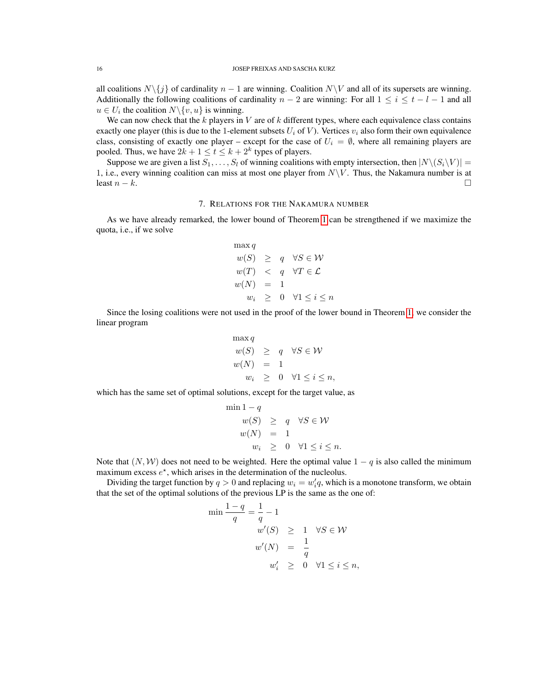all coalitions  $N\{j\}$  of cardinality  $n - 1$  are winning. Coalition  $N\{V\}$  and all of its supersets are winning. Additionally the following coalitions of cardinality  $n - 2$  are winning: For all  $1 \le i \le t - l - 1$  and all  $u \in U_i$  the coalition  $N \setminus \{v, u\}$  is winning.

We can now check that the  $k$  players in  $V$  are of  $k$  different types, where each equivalence class contains exactly one player (this is due to the 1-element subsets  $U_i$  of V). Vertices  $v_i$  also form their own equivalence class, consisting of exactly one player – except for the case of  $U_i = \emptyset$ , where all remaining players are pooled. Thus, we have  $2k + 1 \le t \le k + 2^k$  types of players.

Suppose we are given a list  $S_1, \ldots, S_l$  of winning coalitions with empty intersection, then  $|N\setminus (S_i\setminus V)| =$ 1, i.e., every winning coalition can miss at most one player from  $N\setminus V$ . Thus, the Nakamura number is at least  $n - k$ .

#### 7. RELATIONS FOR THE NAKAMURA NUMBER

<span id="page-15-0"></span>As we have already remarked, the lower bound of Theorem [1](#page-3-3) can be strengthened if we maximize the quota, i.e., if we solve

$$
\max q
$$
  
\n
$$
w(S) \ge q \quad \forall S \in \mathcal{W}
$$
  
\n
$$
w(T) < q \quad \forall T \in \mathcal{L}
$$
  
\n
$$
w(N) = 1
$$
  
\n
$$
w_i \ge 0 \quad \forall 1 \le i \le n
$$

Since the losing coalitions were not used in the proof of the lower bound in Theorem [1,](#page-3-3) we consider the linear program

$$
\begin{array}{rcl}\n\max q \\
w(S) & \geq & q \quad \forall S \in \mathcal{W} \\
w(N) & = & 1 \\
w_i & \geq & 0 \quad \forall 1 \leq i \leq n,\n\end{array}
$$

which has the same set of optimal solutions, except for the target value, as

$$
\begin{array}{rcl}\n\min 1 - q \\
w(S) & \geq & q \quad \forall S \in \mathcal{W} \\
w(N) & = & 1 \\
w_i & \geq & 0 \quad \forall 1 \leq i \leq n.\n\end{array}
$$

Note that  $(N, W)$  does not need to be weighted. Here the optimal value  $1 - q$  is also called the minimum maximum excess  $e^*$ , which arises in the determination of the nucleolus.

Dividing the target function by  $q > 0$  and replacing  $w_i = w'_i q$ , which is a monotone transform, we obtain that the set of the optimal solutions of the previous LP is the same as the one of:

$$
\min \frac{1-q}{q} = \frac{1}{q} - 1
$$
  
\n
$$
w'(S) \ge 1 \quad \forall S \in \mathcal{W}
$$
  
\n
$$
w'(N) = \frac{1}{q}
$$
  
\n
$$
w'_i \ge 0 \quad \forall 1 \le i \le n,
$$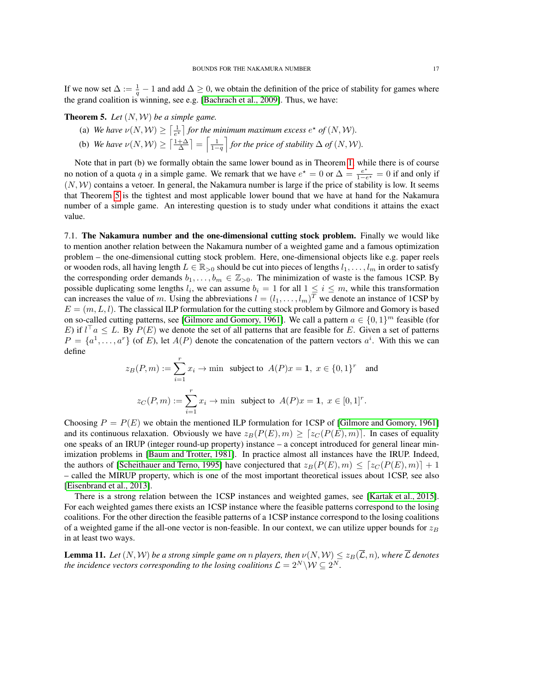If we now set  $\Delta := \frac{1}{q} - 1$  and add  $\Delta \geq 0$ , we obtain the definition of the price of stability for games where the grand coalition is winning, see e.g. [\[Bachrach et al., 2009\]](#page-20-19). Thus, we have:

<span id="page-16-1"></span>Theorem 5. *Let* (N, W) *be a simple game.*

- (a) We have  $\nu(N, W) \geq \left[\frac{1}{e^{\star}}\right]$  for the minimum maximum excess  $e^{\star}$  of  $(N, W)$ . e
- (b) *We have*  $\nu(N, \mathcal{W}) \geq \left\lceil \frac{1+\Delta}{\Delta} \right\rceil = \left\lceil \frac{1}{1-q} \right\rceil$  for the price of stability  $\Delta$  of  $(N, \mathcal{W})$ .

Note that in part (b) we formally obtain the same lower bound as in Theorem [1,](#page-3-3) while there is of course no notion of a quota q in a simple game. We remark that we have  $e^* = 0$  or  $\Delta = \frac{e^*}{1-e^*}$  $\frac{e^{\lambda}}{1-e^{\lambda}}=0$  if and only if  $(N, W)$  contains a vetoer. In general, the Nakamura number is large if the price of stability is low. It seems that Theorem [5](#page-16-1) is the tightest and most applicable lower bound that we have at hand for the Nakamura number of a simple game. An interesting question is to study under what conditions it attains the exact value.

<span id="page-16-0"></span>7.1. The Nakamura number and the one-dimensional cutting stock problem. Finally we would like to mention another relation between the Nakamura number of a weighted game and a famous optimization problem – the one-dimensional cutting stock problem. Here, one-dimensional objects like e.g. paper reels or wooden rods, all having length  $L \in \mathbb{R}_{>0}$  should be cut into pieces of lengths  $l_1, \ldots, l_m$  in order to satisfy the corresponding order demands  $b_1, \ldots, b_m \in \mathbb{Z}_{>0}$ . The minimization of waste is the famous 1CSP. By possible duplicating some lengths  $l_i$ , we can assume  $b_i = 1$  for all  $1 \le i \le m$ , while this transformation can increases the value of m. Using the abbreviations  $l = (l_1, \ldots, l_m)^T$  we denote an instance of 1CSP by  $E = (m, L, l)$ . The classical ILP formulation for the cutting stock problem by Gilmore and Gomory is based on so-called cutting patterns, see [\[Gilmore and Gomory, 1961\]](#page-20-20). We call a pattern  $a \in \{0, 1\}^m$  feasible (for E) if  $l^{\top}a \leq L$ . By  $P(E)$  we denote the set of all patterns that are feasible for E. Given a set of patterns  $P = \{a^1, \ldots, a^r\}$  (of E), let  $A(P)$  denote the concatenation of the pattern vectors  $a^i$ . With this we can define

$$
z_B(P, m) := \sum_{i=1}^r x_i \to \text{min} \text{ subject to } A(P)x = \mathbf{1}, \ x \in \{0, 1\}^r \text{ and}
$$

$$
z_C(P, m) := \sum_{i=1}^r x_i \to \text{min} \text{ subject to } A(P)x = \mathbf{1}, \ x \in [0, 1]^r.
$$

Choosing  $P = P(E)$  we obtain the mentioned ILP formulation for 1CSP of [\[Gilmore and Gomory, 1961\]](#page-20-20) and its continuous relaxation. Obviously we have  $z_B(P(E), m) \geq [z_C(P(E), m)]$ . In cases of equality one speaks of an IRUP (integer round-up property) instance – a concept introduced for general linear minimization problems in [\[Baum and Trotter, 1981\]](#page-20-21). In practice almost all instances have the IRUP. Indeed, the authors of [\[Scheithauer and Terno, 1995\]](#page-20-22) have conjectured that  $z_B(P(E), m) \leq [z_C(P(E), m)] + 1$ – called the MIRUP property, which is one of the most important theoretical issues about 1CSP, see also [\[Eisenbrand et al., 2013\]](#page-20-23).

There is a strong relation between the 1CSP instances and weighted games, see [\[Kartak et al., 2015\]](#page-20-24). For each weighted games there exists an 1CSP instance where the feasible patterns correspond to the losing coalitions. For the other direction the feasible patterns of a 1CSP instance correspond to the losing coalitions of a weighted game if the all-one vector is non-feasible. In our context, we can utilize upper bounds for  $z_B$ in at least two ways.

**Lemma 11.** Let  $(N, W)$  be a strong simple game on n players, then  $\nu(N, W) \leq z_B(\overline{\mathcal{L}}, n)$ , where  $\overline{\mathcal{L}}$  denotes *the incidence vectors corresponding to the losing coalitions*  $\mathcal{L} = 2^N \backslash \mathcal{W} \subseteq 2^N$ .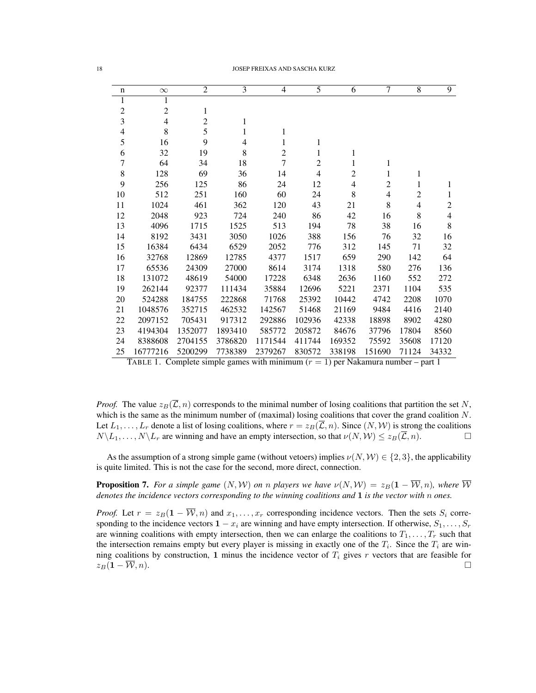| n                        | $\infty$       | $\overline{2}$ | 3            | $\overline{4}$ | 5              | 6              | 7              | 8     | 9              |
|--------------------------|----------------|----------------|--------------|----------------|----------------|----------------|----------------|-------|----------------|
| 1                        | 1              |                |              |                |                |                |                |       |                |
| $\overline{c}$           | $\overline{c}$ | 1              |              |                |                |                |                |       |                |
| $\overline{\mathbf{3}}$  | $\overline{4}$ | $\overline{c}$ | $\mathbf{1}$ |                |                |                |                |       |                |
| $\overline{\mathcal{L}}$ | 8              | 5              | 1            | 1              |                |                |                |       |                |
| 5                        | 16             | 9              | 4            | 1              | 1              |                |                |       |                |
| 6                        | 32             | 19             | 8            | 2              | 1              | 1              |                |       |                |
| $\overline{7}$           | 64             | 34             | 18           | $\overline{7}$ | $\overline{2}$ | 1              | 1              |       |                |
| 8                        | 128            | 69             | 36           | 14             | 4              | $\overline{c}$ | 1              | 1     |                |
| 9                        | 256            | 125            | 86           | 24             | 12             | $\overline{4}$ | $\overline{2}$ | 1     | 1              |
| 10                       | 512            | 251            | 160          | 60             | 24             | 8              | 4              | 2     | 1              |
| 11                       | 1024           | 461            | 362          | 120            | 43             | 21             | 8              | 4     | $\overline{c}$ |
| 12                       | 2048           | 923            | 724          | 240            | 86             | 42             | 16             | 8     | $\overline{4}$ |
| 13                       | 4096           | 1715           | 1525         | 513            | 194            | 78             | 38             | 16    | 8              |
| 14                       | 8192           | 3431           | 3050         | 1026           | 388            | 156            | 76             | 32    | 16             |
| 15                       | 16384          | 6434           | 6529         | 2052           | 776            | 312            | 145            | 71    | 32             |
| 16                       | 32768          | 12869          | 12785        | 4377           | 1517           | 659            | 290            | 142   | 64             |
| 17                       | 65536          | 24309          | 27000        | 8614           | 3174           | 1318           | 580            | 276   | 136            |
| 18                       | 131072         | 48619          | 54000        | 17228          | 6348           | 2636           | 1160           | 552   | 272            |
| 19                       | 262144         | 92377          | 111434       | 35884          | 12696          | 5221           | 2371           | 1104  | 535            |
| 20                       | 524288         | 184755         | 222868       | 71768          | 25392          | 10442          | 4742           | 2208  | 1070           |
| 21                       | 1048576        | 352715         | 462532       | 142567         | 51468          | 21169          | 9484           | 4416  | 2140           |
| 22                       | 2097152        | 705431         | 917312       | 292886         | 102936         | 42338          | 18898          | 8902  | 4280           |
| 23                       | 4194304        | 1352077        | 1893410      | 585772         | 205872         | 84676          | 37796          | 17804 | 8560           |
| 24                       | 8388608        | 2704155        | 3786820      | 1171544        | 411744         | 169352         | 75592          | 35608 | 17120          |
| 25                       | 16777216       | 5200299        | 7738389      | 2379267        | 830572         | 338198         | 151690         | 71124 | 34332          |

<span id="page-17-1"></span>TABLE 1. Complete simple games with minimum  $(r = 1)$  per Nakamura number – part 1

*Proof.* The value  $z_B(\overline{\mathcal{L}}, n)$  corresponds to the minimal number of losing coalitions that partition the set N, which is the same as the minimum number of (maximal) losing coalitions that cover the grand coalition  $N$ . Let  $L_1, \ldots, L_r$  denote a list of losing coalitions, where  $r = z_B(\overline{\mathcal{L}}, n)$ . Since  $(N, \mathcal{W})$  is strong the coalitions  $N\setminus L_1, \ldots, N\setminus L_r$  are winning and have an empty intersection, so that  $\nu(N, W) \leq z_B(\overline{\mathcal{L}}, n)$ .

As the assumption of a strong simple game (without vetoers) implies  $\nu(N, W) \in \{2, 3\}$ , the applicability is quite limited. This is not the case for the second, more direct, connection.

<span id="page-17-0"></span>**Proposition 7.** For a simple game  $(N, W)$  on n players we have  $\nu(N, W) = z_B(1 - \overline{W}, n)$ , where  $\overline{W}$ *denotes the incidence vectors corresponding to the winning coalitions and* 1 *is the vector with* n *ones.*

*Proof.* Let  $r = z_B(1 - \overline{W}, n)$  and  $x_1, \ldots, x_r$  corresponding incidence vectors. Then the sets  $S_i$  corresponding to the incidence vectors  $1 - x_i$  are winning and have empty intersection. If otherwise,  $S_1, \ldots, S_r$ are winning coalitions with empty intersection, then we can enlarge the coalitions to  $T_1, \ldots, T_r$  such that the intersection remains empty but every player is missing in exactly one of the  $T_i$ . Since the  $T_i$  are winning coalitions by construction, 1 minus the incidence vector of  $T_i$  gives r vectors that are feasible for  $z_B(1-\overline{\mathcal{W}},n).$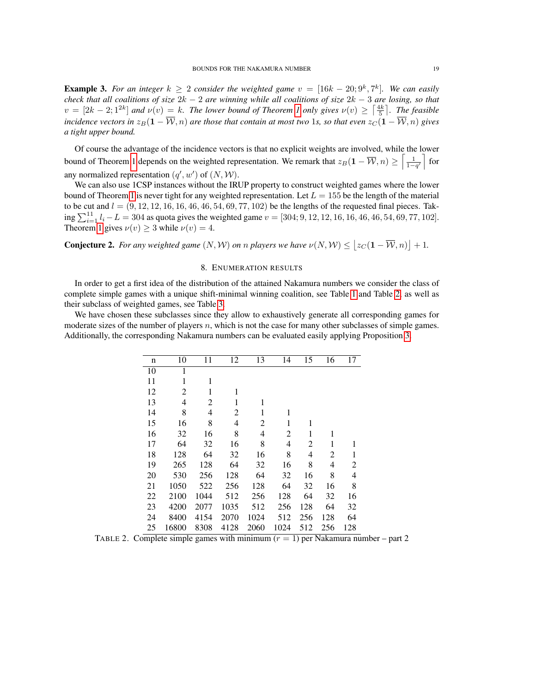**Example 3.** For an integer  $k \geq 2$  consider the weighted game  $v = [16k - 20; 9^k, 7^k]$ . We can easily *check that all coalitions of size* 2k − 2 *are winning while all coalitions of size* 2k − 3 *are losing, so that*  $v = [2k-2; 1^{2k}]$  $v = [2k-2; 1^{2k}]$  $v = [2k-2; 1^{2k}]$  and  $v(v) = k$ . The lower bound of Theorem 1 only gives  $v(v) \geq \left\lceil \frac{4k}{5} \right\rceil$ . The feasible *incidence vectors in*  $z_B(1 - \overline{W}, n)$  *are those that contain at most two* 1*s, so that even*  $z_C(1 - \overline{W}, n)$  *gives a tight upper bound.*

Of course the advantage of the incidence vectors is that no explicit weights are involved, while the lower bound of Theorem [1](#page-3-3) depends on the weighted representation. We remark that  $z_B(1 - \overline{W}, n) \geq \left[\frac{1}{1-q'}\right]$  for any normalized representation  $(q', w')$  of  $(N, W)$ .

We can also use 1CSP instances without the IRUP property to construct weighted games where the lower bound of Theorem [1](#page-3-3) is never tight for any weighted representation. Let  $L = 155$  be the length of the material to be cut and  $l = (9, 12, 12, 16, 16, 46, 46, 54, 69, 77, 102)$  be the lengths of the requested final pieces. Taking  $\sum_{i=1}^{11} l_i - L = 304$  as quota gives the weighted game  $v = [304; 9, 12, 12, 16, 16, 46, 46, 54, 69, 77, 102]$ . Theorem [1](#page-3-3) gives  $\nu(v) \geq 3$  while  $\nu(v) = 4$ .

**Conjecture 2.** For any weighted game  $(N, W)$  on n players we have  $\nu(N, W) \leq |z_C(1 - \overline{W}, n)| + 1$ .

# 8. ENUMERATION RESULTS

<span id="page-18-0"></span>In order to get a first idea of the distribution of the attained Nakamura numbers we consider the class of complete simple games with a unique shift-minimal winning coalition, see Table [1](#page-17-1) and Table [2,](#page-18-1) as well as their subclass of weighted games, see Table [3.](#page-19-1)

We have chosen these subclasses since they allow to exhaustively generate all corresponding games for moderate sizes of the number of players  $n$ , which is not the case for many other subclasses of simple games. Additionally, the corresponding Nakamura numbers can be evaluated easily applying Proposition [3.](#page-11-0)

| n  | 10    | 11   | 12   | 13   | 14   | 15  | 16  | 17  |
|----|-------|------|------|------|------|-----|-----|-----|
| 10 | 1     |      |      |      |      |     |     |     |
| 11 | 1     | 1    |      |      |      |     |     |     |
| 12 | 2     | 1    | 1    |      |      |     |     |     |
| 13 | 4     | 2    | 1    | 1    |      |     |     |     |
| 14 | 8     | 4    | 2    | 1    | 1    |     |     |     |
| 15 | 16    | 8    | 4    | 2    | 1    | 1   |     |     |
| 16 | 32    | 16   | 8    | 4    | 2    | 1   | 1   |     |
| 17 | 64    | 32   | 16   | 8    | 4    | 2   | 1   | 1   |
| 18 | 128   | 64   | 32   | 16   | 8    | 4   | 2   | 1   |
| 19 | 265   | 128  | 64   | 32   | 16   | 8   | 4   | 2   |
| 20 | 530   | 256  | 128  | 64   | 32   | 16  | 8   | 4   |
| 21 | 1050  | 522  | 256  | 128  | 64   | 32  | 16  | 8   |
| 22 | 2100  | 1044 | 512  | 256  | 128  | 64  | 32  | 16  |
| 23 | 4200  | 2077 | 1035 | 512  | 256  | 128 | 64  | 32  |
| 24 | 8400  | 4154 | 2070 | 1024 | 512  | 256 | 128 | 64  |
| 25 | 16800 | 8308 | 4128 | 2060 | 1024 | 512 | 256 | 128 |

<span id="page-18-1"></span>TABLE 2. Complete simple games with minimum  $(r = 1)$  per Nakamura number – part 2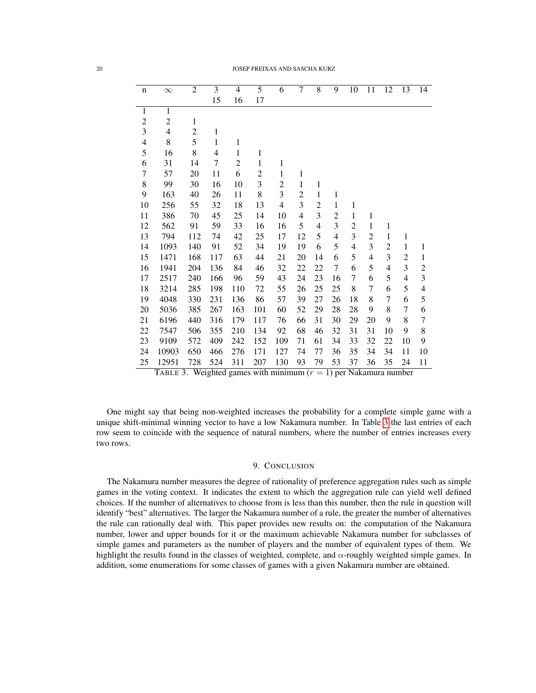| $\mathbf n$      | $\infty$       | $\overline{2}$ | $\overline{3}$ | $\overline{4}$ | 5                | 6              | $\overline{7}$ | $\overline{8}$ | $\overline{9}$ | 10                             | 11               | $\overline{12}$ | $\overline{13}$ | 14                       |
|------------------|----------------|----------------|----------------|----------------|------------------|----------------|----------------|----------------|----------------|--------------------------------|------------------|-----------------|-----------------|--------------------------|
|                  |                |                | 15             | 16             | 17               |                |                |                |                |                                |                  |                 |                 |                          |
| $\mathbf{1}$     | $\mathbf{1}$   |                |                |                |                  |                |                |                |                |                                |                  |                 |                 |                          |
| $\boldsymbol{2}$ | $\overline{c}$ | $\mathbf{1}$   |                |                |                  |                |                |                |                |                                |                  |                 |                 |                          |
| 3                | $\overline{4}$ | $\overline{c}$ | $\mathbf{1}$   |                |                  |                |                |                |                |                                |                  |                 |                 |                          |
| $\overline{4}$   | 8              | 5              | $\mathbf 1$    | $\mathbf{1}$   |                  |                |                |                |                |                                |                  |                 |                 |                          |
| 5                | 16             | 8              | 4              | 1              | 1                |                |                |                |                |                                |                  |                 |                 |                          |
| 6                | 31             | 14             | 7              | $\overline{c}$ | 1                | 1              |                |                |                |                                |                  |                 |                 |                          |
| $\sqrt{ }$       | 57             | 20             | 11             | 6              | $\overline{c}$   | $\mathbf{1}$   | $\,1$          |                |                |                                |                  |                 |                 |                          |
| 8                | 99             | 30             | 16             | 10             | 3                | $\overline{c}$ | $\mathbf{1}$   | $\mathbf{1}$   |                |                                |                  |                 |                 |                          |
| 9                | 163            | 40             | 26             | 11             | 8                | 3              | $\overline{c}$ | $\,1$          | $\mathbf{1}$   |                                |                  |                 |                 |                          |
| 10               | 256            | 55             | 32             | 18             | 13               | $\overline{4}$ | 3              | $\overline{c}$ | $\mathbf{1}$   | $\mathbf{1}$                   |                  |                 |                 |                          |
| 11               | 386            | 70             | 45             | 25             | 14               | 10             | $\overline{4}$ | 3              | $\overline{c}$ | $\mathbf{1}$                   | 1                |                 |                 |                          |
| 12               | 562            | 91             | 59             | 33             | 16               | 16             | 5              | 4              | 3              | $\overline{2}$                 | 1                | $\mathbf{1}$    |                 |                          |
| 13               | 794            | 112            | 74             | 42             | 25               | 17             | 12             | 5              | $\overline{4}$ | 3                              | 2                | $\mathbf{1}$    | 1               |                          |
| 14               | 1093           | 140            | 91             | 52             | 34               | 19             | 19             | 6              | 5              | $\overline{\mathbf{4}}$        | 3                | $\overline{c}$  | $\mathbf{1}$    | $\mathbf{1}$             |
| 15               | 1471           | 168            | 117            | 63             | 44               | 21             | 20             | 14             | 6              | 5                              | 4                | 3               | $\overline{c}$  | $\mathbf 1$              |
| 16               | 1941           | 204            | 136            | 84             | 46               | 32             | 22             | 22             | 7              | 6                              | 5                | $\overline{4}$  | 3               | $\overline{c}$           |
| 17               | 2517           | 240            | 166            | 96             | 59               | 43             | 24             | 23             | 16             | $\tau$                         | 6                | 5               | 4               | $\mathfrak{Z}$           |
| 18               | 3214           | 285            | 198            | 110            | 72               | 55             | 26             | 25             | 25             | 8                              | $\boldsymbol{7}$ | 6               | 5               | $\overline{\mathcal{A}}$ |
| 19               | 4048           | 330            | 231            | 136            | 86               | 57             | 39             | 27             | 26             | 18                             | 8                | 7               | 6               | 5                        |
| 20               | 5036           | 385            | 267            | 163            | 101              | 60             | 52             | 29             | 28             | 28                             | 9                | 8               | $\overline{7}$  | 6                        |
| 21               | 6196           | 440            | 316            | 179            | 117              | 76             | 66             | 31             | 30             | 29                             | 20               | 9               | 8               | 7                        |
| 22               | 7547           | 506            | 355            | 210            | 134              | 92             | 68             | 46             | 32             | 31                             | 31               | 10              | 9               | 8                        |
| 23               | 9109           | 572            | 409            | 242            | 152              | 109            | 71             | 61             | 34             | 33                             | 32               | 22              | 10              | 9                        |
| 24               | 10903          | 650            | 466            | 276            | 171              | 127            | 74             | 77             | 36             | 35                             | 34               | 34              | 11              | 10                       |
| 25               | 12951          | 728            | 524            | 311            | 207<br>$\cdot$ . | 130            | 93             | 79             | 53             | 37<br>$\overline{\phantom{a}}$ | 36               | 35              | 24              | 11                       |

<span id="page-19-1"></span>TABLE 3. Weighted games with minimum  $(r = 1)$  per Nakamura number

One might say that being non-weighted increases the probability for a complete simple game with a unique shift-minimal winning vector to have a low Nakamura number. In Table [3](#page-19-1) the last entries of each row seem to coincide with the sequence of natural numbers, where the number of entries increases every two rows.

## 9. CONCLUSION

<span id="page-19-0"></span>The Nakamura number measures the degree of rationality of preference aggregation rules such as simple games in the voting context. It indicates the extent to which the aggregation rule can yield well defined choices. If the number of alternatives to choose from is less than this number, then the rule in question will identify "best" alternatives. The larger the Nakamura number of a rule, the greater the number of alternatives the rule can rationally deal with. This paper provides new results on: the computation of the Nakamura number, lower and upper bounds for it or the maximum achievable Nakamura number for subclasses of simple games and parameters as the number of players and the number of equivalent types of them. We highlight the results found in the classes of weighted, complete, and  $\alpha$ -roughly weighted simple games. In addition, some enumerations for some classes of games with a given Nakamura number are obtained.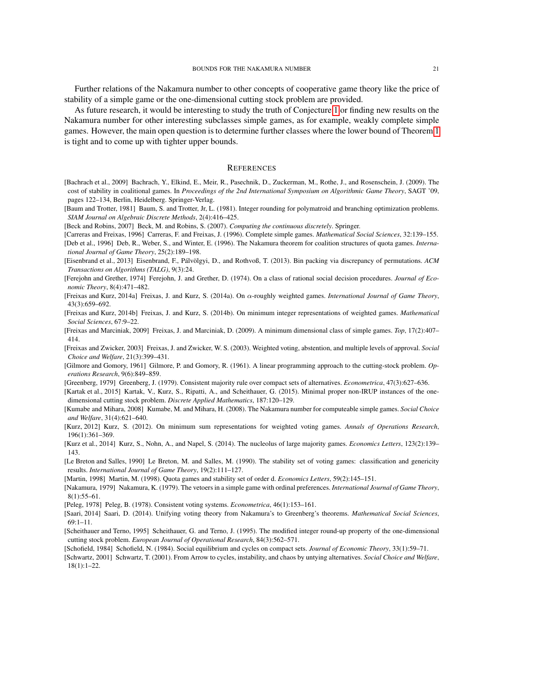Further relations of the Nakamura number to other concepts of cooperative game theory like the price of stability of a simple game or the one-dimensional cutting stock problem are provided.

As future research, it would be interesting to study the truth of Conjecture [1](#page-14-0) or finding new results on the Nakamura number for other interesting subclasses simple games, as for example, weakly complete simple games. However, the main open question is to determine further classes where the lower bound of Theorem [1](#page-3-3) is tight and to come up with tighter upper bounds.

#### **REFERENCES**

- <span id="page-20-19"></span>[Bachrach et al., 2009] Bachrach, Y., Elkind, E., Meir, R., Pasechnik, D., Zuckerman, M., Rothe, J., and Rosenschein, J. (2009). The cost of stability in coalitional games. In *Proceedings of the 2nd International Symposium on Algorithmic Game Theory*, SAGT '09, pages 122–134, Berlin, Heidelberg. Springer-Verlag.
- <span id="page-20-21"></span>[Baum and Trotter, 1981] Baum, S. and Trotter, Jr, L. (1981). Integer rounding for polymatroid and branching optimization problems. *SIAM Journal on Algebraic Discrete Methods*, 2(4):416–425.
- <span id="page-20-14"></span>[Beck and Robins, 2007] Beck, M. and Robins, S. (2007). *Computing the continuous discretely*. Springer.
- <span id="page-20-18"></span><span id="page-20-4"></span>[Carreras and Freixas, 1996] Carreras, F. and Freixas, J. (1996). Complete simple games. *Mathematical Social Sciences*, 32:139–155. [Deb et al., 1996] Deb, R., Weber, S., and Winter, E. (1996). The Nakamura theorem for coalition structures of quota games. *International Journal of Game Theory*, 25(2):189–198.
- <span id="page-20-23"></span>[Eisenbrand et al., 2013] Eisenbrand, F., Pálvölgyi, D., and Rothvoß, T. (2013). Bin packing via discrepancy of permutations. ACM *Transactions on Algorithms (TALG)*, 9(3):24.
- <span id="page-20-8"></span>[Ferejohn and Grether, 1974] Ferejohn, J. and Grether, D. (1974). On a class of rational social decision procedures. *Journal of Economic Theory*, 8(4):471–482.
- <span id="page-20-16"></span>[Freixas and Kurz, 2014a] Freixas, J. and Kurz, S. (2014a). On α-roughly weighted games. *International Journal of Game Theory*, 43(3):659–692.
- <span id="page-20-15"></span>[Freixas and Kurz, 2014b] Freixas, J. and Kurz, S. (2014b). On minimum integer representations of weighted games. *Mathematical Social Sciences*, 67:9–22.
- <span id="page-20-17"></span>[Freixas and Marciniak, 2009] Freixas, J. and Marciniak, D. (2009). A minimum dimensional class of simple games. *Top*, 17(2):407– 414.
- <span id="page-20-11"></span>[Freixas and Zwicker, 2003] Freixas, J. and Zwicker, W. S. (2003). Weighted voting, abstention, and multiple levels of approval. *Social Choice and Welfare*, 21(3):399–431.
- <span id="page-20-20"></span>[Gilmore and Gomory, 1961] Gilmore, P. and Gomory, R. (1961). A linear programming approach to the cutting-stock problem. *Operations Research*, 9(6):849–859.
- <span id="page-20-1"></span>[Greenberg, 1979] Greenberg, J. (1979). Consistent majority rule over compact sets of alternatives. *Econometrica*, 47(3):627–636.
- <span id="page-20-24"></span>[Kartak et al., 2015] Kartak, V., Kurz, S., Ripatti, A., and Scheithauer, G. (2015). Minimal proper non-IRUP instances of the onedimensional cutting stock problem. *Discrete Applied Mathematics*, 187:120–129.
- <span id="page-20-10"></span>[Kumabe and Mihara, 2008] Kumabe, M. and Mihara, H. (2008). The Nakamura number for computeable simple games. *Social Choice and Welfare*, 31(4):621–640.
- <span id="page-20-12"></span>[Kurz, 2012] Kurz, S. (2012). On minimum sum representations for weighted voting games. *Annals of Operations Research*, 196(1):361–369.
- <span id="page-20-13"></span>[Kurz et al., 2014] Kurz, S., Nohn, A., and Napel, S. (2014). The nucleolus of large majority games. *Economics Letters*, 123(2):139– 143.
- <span id="page-20-3"></span>[Le Breton and Salles, 1990] Le Breton, M. and Salles, M. (1990). The stability set of voting games: classification and genericity results. *International Journal of Game Theory*, 19(2):111–127.
- <span id="page-20-5"></span>[Martin, 1998] Martin, M. (1998). Quota games and stability set of order d. *Economics Letters*, 59(2):145–151.
- <span id="page-20-2"></span>[Nakamura, 1979] Nakamura, K. (1979). The vetoers in a simple game with ordinal preferences. *International Journal of Game Theory*,  $8(1):55-61.$
- <span id="page-20-9"></span>[Peleg, 1978] Peleg, B. (1978). Consistent voting systems. *Econometrica*, 46(1):153–161.
- <span id="page-20-7"></span>[Saari, 2014] Saari, D. (2014). Unifying voting theory from Nakamura's to Greenberg's theorems. *Mathematical Social Sciences*, 69:1–11.
- <span id="page-20-22"></span>[Scheithauer and Terno, 1995] Scheithauer, G. and Terno, J. (1995). The modified integer round-up property of the one-dimensional cutting stock problem. *European Journal of Operational Research*, 84(3):562–571.
- <span id="page-20-0"></span>[Schofield, 1984] Schofield, N. (1984). Social equilibrium and cycles on compact sets. *Journal of Economic Theory*, 33(1):59–71.
- <span id="page-20-6"></span>[Schwartz, 2001] Schwartz, T. (2001). From Arrow to cycles, instability, and chaos by untying alternatives. *Social Choice and Welfare*, 18(1):1–22.